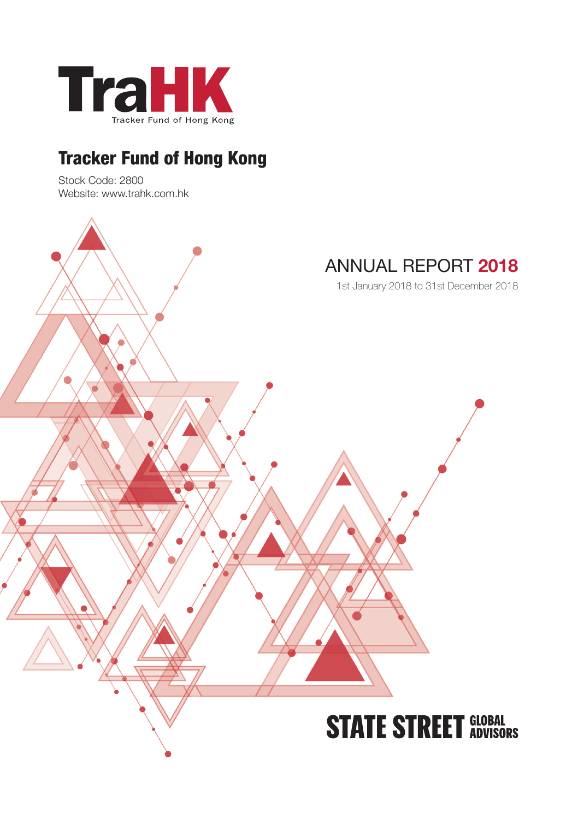

# **Tracker Fund of Hong Kong**

Stock Code: 2800 Website: www.trahk.com.hk

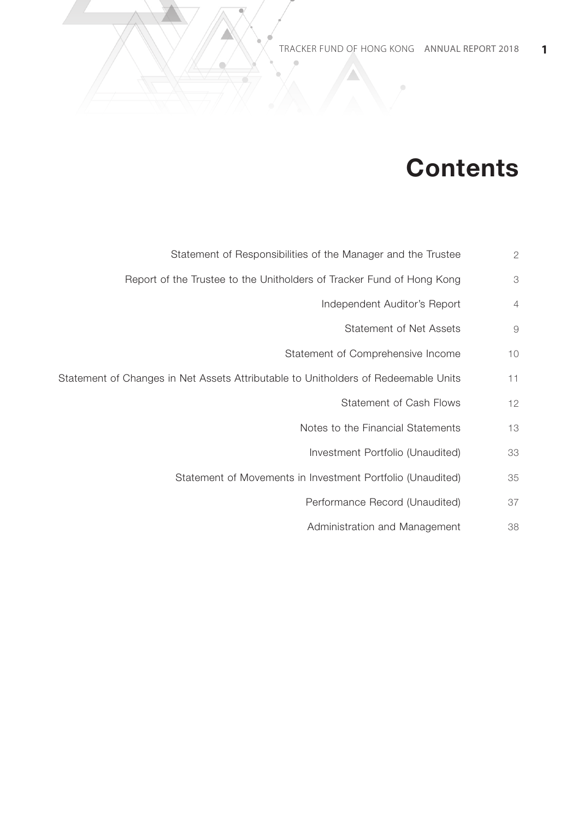# **Contents**

- Statement of Responsibilities of the Manager and the Trustee 2
- Report of the Trustee to the Unitholders of Tracker Fund of Hong Kong 3
	- Independent Auditor's Report 4
		- Statement of Net Assets 9
	- Statement of Comprehensive Income 10
- Statement of Changes in Net Assets Attributable to Unitholders of Redeemable Units 11
	- Statement of Cash Flows 12
	- Notes to the Financial Statements 13
		- Investment Portfolio (Unaudited) 33
	- Statement of Movements in Investment Portfolio (Unaudited) 35
		- Performance Record (Unaudited) 37
		- Administration and Management 38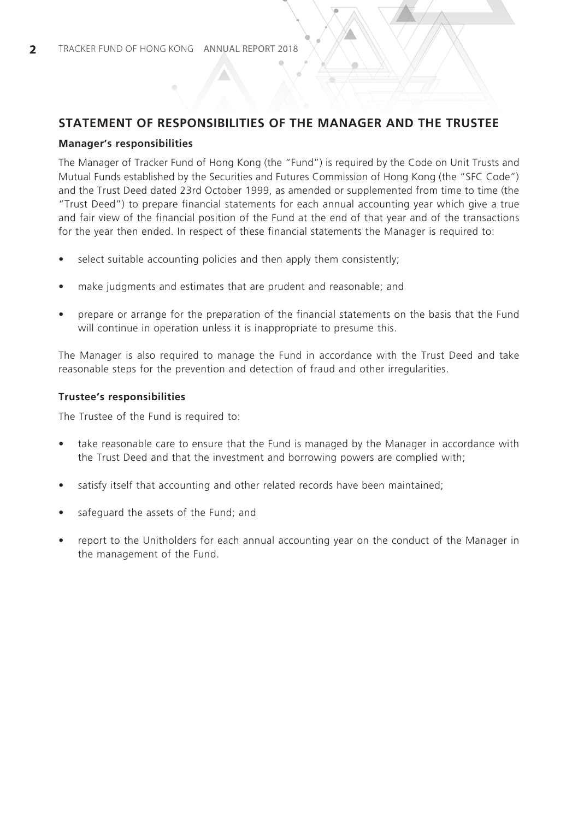# **STATEMENT OF RESPONSIBILITIES OF THE MANAGER AND THE TRUSTEE**

### **Manager's responsibilities**

The Manager of Tracker Fund of Hong Kong (the "Fund") is required by the Code on Unit Trusts and Mutual Funds established by the Securities and Futures Commission of Hong Kong (the "SFC Code") and the Trust Deed dated 23rd October 1999, as amended or supplemented from time to time (the "Trust Deed") to prepare financial statements for each annual accounting year which give a true and fair view of the financial position of the Fund at the end of that year and of the transactions for the year then ended. In respect of these financial statements the Manager is required to:

- select suitable accounting policies and then apply them consistently;
- make judgments and estimates that are prudent and reasonable; and
- prepare or arrange for the preparation of the financial statements on the basis that the Fund will continue in operation unless it is inappropriate to presume this.

The Manager is also required to manage the Fund in accordance with the Trust Deed and take reasonable steps for the prevention and detection of fraud and other irregularities.

#### **Trustee's responsibilities**

The Trustee of the Fund is required to:

- take reasonable care to ensure that the Fund is managed by the Manager in accordance with the Trust Deed and that the investment and borrowing powers are complied with;
- satisfy itself that accounting and other related records have been maintained;
- safeguard the assets of the Fund; and
- report to the Unitholders for each annual accounting year on the conduct of the Manager in the management of the Fund.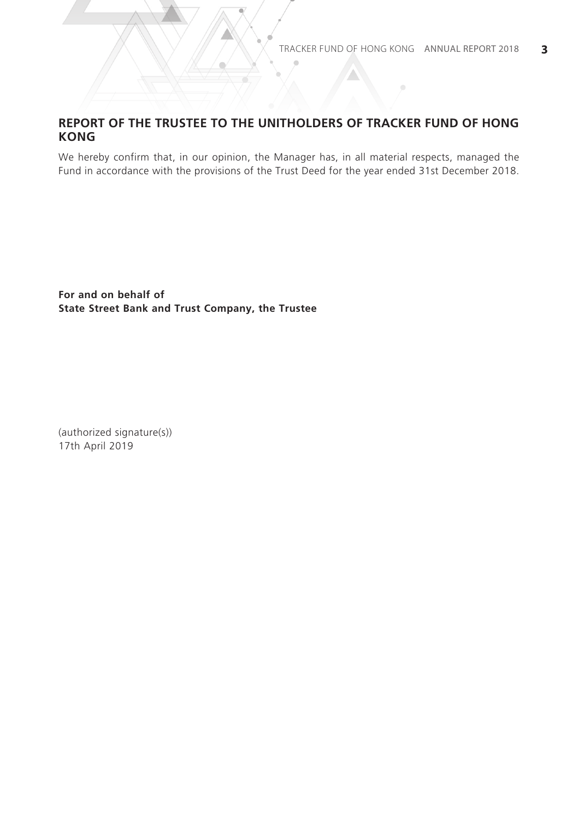# **REPORT OF THE TRUSTEE TO THE UNITHOLDERS OF TRACKER FUND OF HONG KONG**

We hereby confirm that, in our opinion, the Manager has, in all material respects, managed the Fund in accordance with the provisions of the Trust Deed for the year ended 31st December 2018.

**For and on behalf of State Street Bank and Trust Company, the Trustee**

(authorized signature(s)) 17th April 2019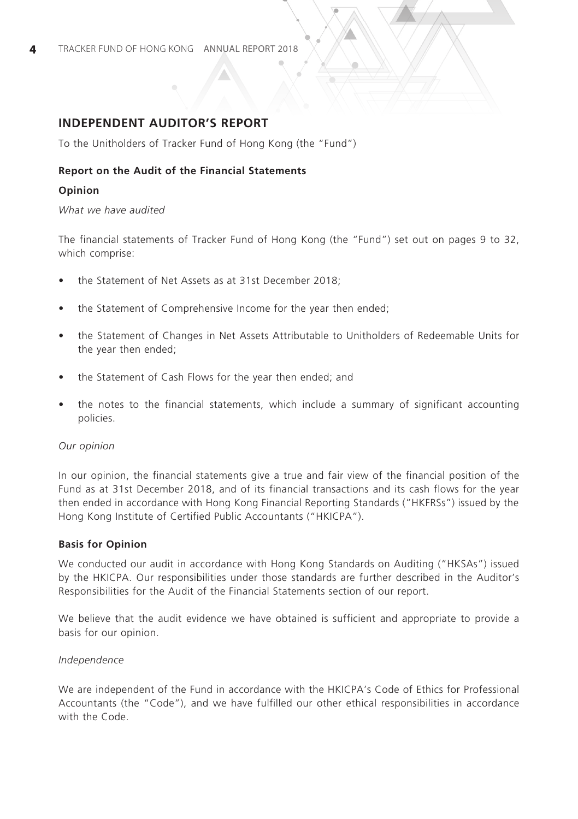To the Unitholders of Tracker Fund of Hong Kong (the "Fund")

### **Report on the Audit of the Financial Statements**

### **Opinion**

*What we have audited*

The financial statements of Tracker Fund of Hong Kong (the "Fund") set out on pages 9 to 32, which comprise:

- the Statement of Net Assets as at 31st December 2018;
- the Statement of Comprehensive Income for the year then ended:
- the Statement of Changes in Net Assets Attributable to Unitholders of Redeemable Units for the year then ended;
- the Statement of Cash Flows for the year then ended; and
- the notes to the financial statements, which include a summary of significant accounting policies.

#### *Our opinion*

In our opinion, the financial statements give a true and fair view of the financial position of the Fund as at 31st December 2018, and of its financial transactions and its cash flows for the year then ended in accordance with Hong Kong Financial Reporting Standards ("HKFRSs") issued by the Hong Kong Institute of Certified Public Accountants ("HKICPA").

#### **Basis for Opinion**

We conducted our audit in accordance with Hong Kong Standards on Auditing ("HKSAs") issued by the HKICPA. Our responsibilities under those standards are further described in the Auditor's Responsibilities for the Audit of the Financial Statements section of our report.

We believe that the audit evidence we have obtained is sufficient and appropriate to provide a basis for our opinion.

#### *Independence*

We are independent of the Fund in accordance with the HKICPA's Code of Ethics for Professional Accountants (the "Code"), and we have fulfilled our other ethical responsibilities in accordance with the Code.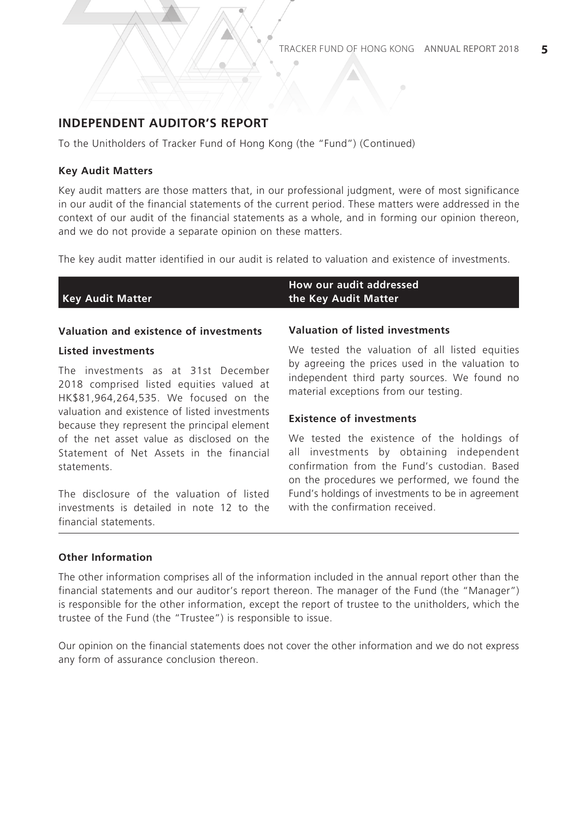To the Unitholders of Tracker Fund of Hong Kong (the "Fund") (Continued)

#### **Key Audit Matters**

Key audit matters are those matters that, in our professional judgment, were of most significance in our audit of the financial statements of the current period. These matters were addressed in the context of our audit of the financial statements as a whole, and in forming our opinion thereon, and we do not provide a separate opinion on these matters.

The key audit matter identified in our audit is related to valuation and existence of investments.

| Key Audit Matter                                                                                                                                      | How our audit addressed<br>the Key Audit Matter                                                                                                                                            |
|-------------------------------------------------------------------------------------------------------------------------------------------------------|--------------------------------------------------------------------------------------------------------------------------------------------------------------------------------------------|
| Valuation and existence of investments                                                                                                                | Valuation of listed investments                                                                                                                                                            |
| <b>Listed investments</b><br>The investments as at 31st December<br>2018 comprised listed equities valued at<br>HK\$81,964,264,535. We focused on the | We tested the valuation of all listed equities<br>by agreeing the prices used in the valuation to<br>independent third party sources. We found no<br>material exceptions from our testing. |
| valuation and existence of listed investments<br>because they represent the principal element                                                         | <b>Existence of investments</b>                                                                                                                                                            |
| of the net asset value as disclosed on the<br>Statement of Net Assets in the financial                                                                | We tested the existence of the holdings of<br>all investments by obtaining independent                                                                                                     |

The disclosure of the valuation of listed investments is detailed in note 12 to the financial statements.

all investments by obtaining independent confirmation from the Fund's custodian. Based on the procedures we performed, we found the Fund's holdings of investments to be in agreement with the confirmation received.

### **Other Information**

statements.

The other information comprises all of the information included in the annual report other than the financial statements and our auditor's report thereon. The manager of the Fund (the "Manager") is responsible for the other information, except the report of trustee to the unitholders, which the trustee of the Fund (the "Trustee") is responsible to issue.

Our opinion on the financial statements does not cover the other information and we do not express any form of assurance conclusion thereon.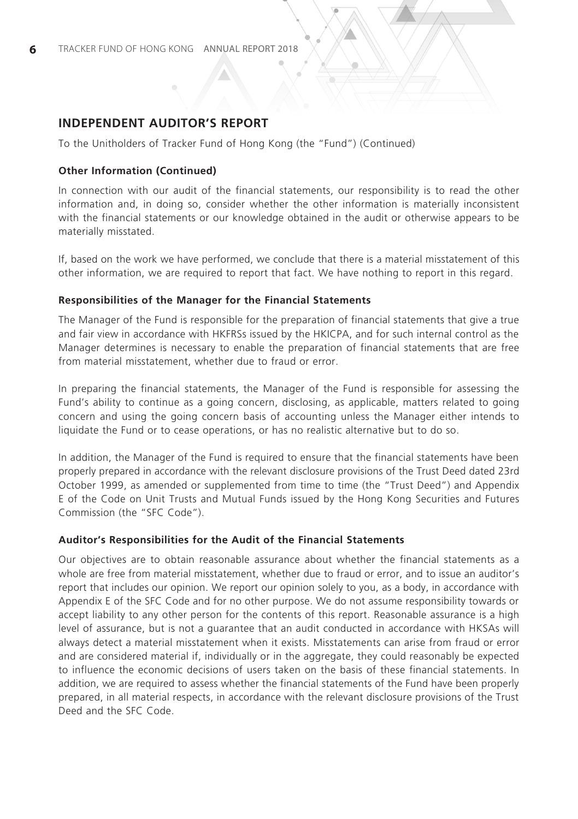To the Unitholders of Tracker Fund of Hong Kong (the "Fund") (Continued)

### **Other Information (Continued)**

In connection with our audit of the financial statements, our responsibility is to read the other information and, in doing so, consider whether the other information is materially inconsistent with the financial statements or our knowledge obtained in the audit or otherwise appears to be materially misstated.

If, based on the work we have performed, we conclude that there is a material misstatement of this other information, we are required to report that fact. We have nothing to report in this regard.

#### **Responsibilities of the Manager for the Financial Statements**

The Manager of the Fund is responsible for the preparation of financial statements that give a true and fair view in accordance with HKFRSs issued by the HKICPA, and for such internal control as the Manager determines is necessary to enable the preparation of financial statements that are free from material misstatement, whether due to fraud or error.

In preparing the financial statements, the Manager of the Fund is responsible for assessing the Fund's ability to continue as a going concern, disclosing, as applicable, matters related to going concern and using the going concern basis of accounting unless the Manager either intends to liquidate the Fund or to cease operations, or has no realistic alternative but to do so.

In addition, the Manager of the Fund is required to ensure that the financial statements have been properly prepared in accordance with the relevant disclosure provisions of the Trust Deed dated 23rd October 1999, as amended or supplemented from time to time (the "Trust Deed") and Appendix E of the Code on Unit Trusts and Mutual Funds issued by the Hong Kong Securities and Futures Commission (the "SFC Code").

#### **Auditor's Responsibilities for the Audit of the Financial Statements**

Our objectives are to obtain reasonable assurance about whether the financial statements as a whole are free from material misstatement, whether due to fraud or error, and to issue an auditor's report that includes our opinion. We report our opinion solely to you, as a body, in accordance with Appendix E of the SFC Code and for no other purpose. We do not assume responsibility towards or accept liability to any other person for the contents of this report. Reasonable assurance is a high level of assurance, but is not a guarantee that an audit conducted in accordance with HKSAs will always detect a material misstatement when it exists. Misstatements can arise from fraud or error and are considered material if, individually or in the aggregate, they could reasonably be expected to influence the economic decisions of users taken on the basis of these financial statements. In addition, we are required to assess whether the financial statements of the Fund have been properly prepared, in all material respects, in accordance with the relevant disclosure provisions of the Trust Deed and the SFC Code.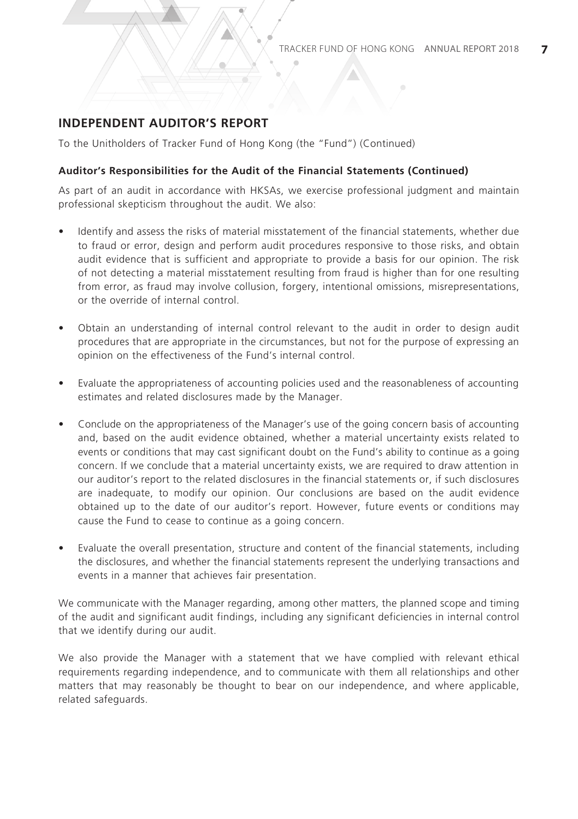To the Unitholders of Tracker Fund of Hong Kong (the "Fund") (Continued)

### **Auditor's Responsibilities for the Audit of the Financial Statements (Continued)**

As part of an audit in accordance with HKSAs, we exercise professional judgment and maintain professional skepticism throughout the audit. We also:

- Identify and assess the risks of material misstatement of the financial statements, whether due to fraud or error, design and perform audit procedures responsive to those risks, and obtain audit evidence that is sufficient and appropriate to provide a basis for our opinion. The risk of not detecting a material misstatement resulting from fraud is higher than for one resulting from error, as fraud may involve collusion, forgery, intentional omissions, misrepresentations, or the override of internal control.
- Obtain an understanding of internal control relevant to the audit in order to design audit procedures that are appropriate in the circumstances, but not for the purpose of expressing an opinion on the effectiveness of the Fund's internal control.
- Evaluate the appropriateness of accounting policies used and the reasonableness of accounting estimates and related disclosures made by the Manager.
- Conclude on the appropriateness of the Manager's use of the going concern basis of accounting and, based on the audit evidence obtained, whether a material uncertainty exists related to events or conditions that may cast significant doubt on the Fund's ability to continue as a going concern. If we conclude that a material uncertainty exists, we are required to draw attention in our auditor's report to the related disclosures in the financial statements or, if such disclosures are inadequate, to modify our opinion. Our conclusions are based on the audit evidence obtained up to the date of our auditor's report. However, future events or conditions may cause the Fund to cease to continue as a going concern.
- Evaluate the overall presentation, structure and content of the financial statements, including the disclosures, and whether the financial statements represent the underlying transactions and events in a manner that achieves fair presentation.

We communicate with the Manager regarding, among other matters, the planned scope and timing of the audit and significant audit findings, including any significant deficiencies in internal control that we identify during our audit.

We also provide the Manager with a statement that we have complied with relevant ethical requirements regarding independence, and to communicate with them all relationships and other matters that may reasonably be thought to bear on our independence, and where applicable, related safeguards.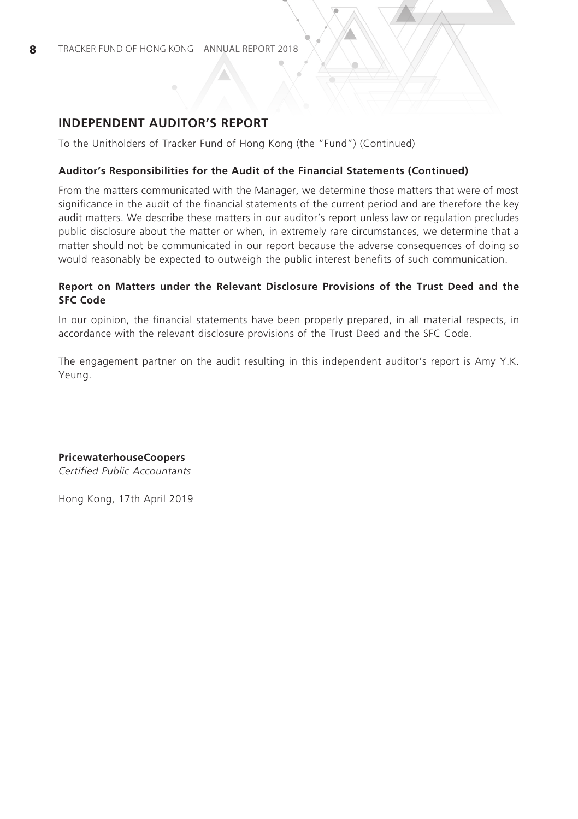To the Unitholders of Tracker Fund of Hong Kong (the "Fund") (Continued)

### **Auditor's Responsibilities for the Audit of the Financial Statements (Continued)**

From the matters communicated with the Manager, we determine those matters that were of most significance in the audit of the financial statements of the current period and are therefore the key audit matters. We describe these matters in our auditor's report unless law or regulation precludes public disclosure about the matter or when, in extremely rare circumstances, we determine that a matter should not be communicated in our report because the adverse consequences of doing so would reasonably be expected to outweigh the public interest benefits of such communication.

### **Report on Matters under the Relevant Disclosure Provisions of the Trust Deed and the SFC Code**

In our opinion, the financial statements have been properly prepared, in all material respects, in accordance with the relevant disclosure provisions of the Trust Deed and the SFC Code.

The engagement partner on the audit resulting in this independent auditor's report is Amy Y.K. Yeung.

**PricewaterhouseCoopers**

*Certified Public Accountants*

Hong Kong, 17th April 2019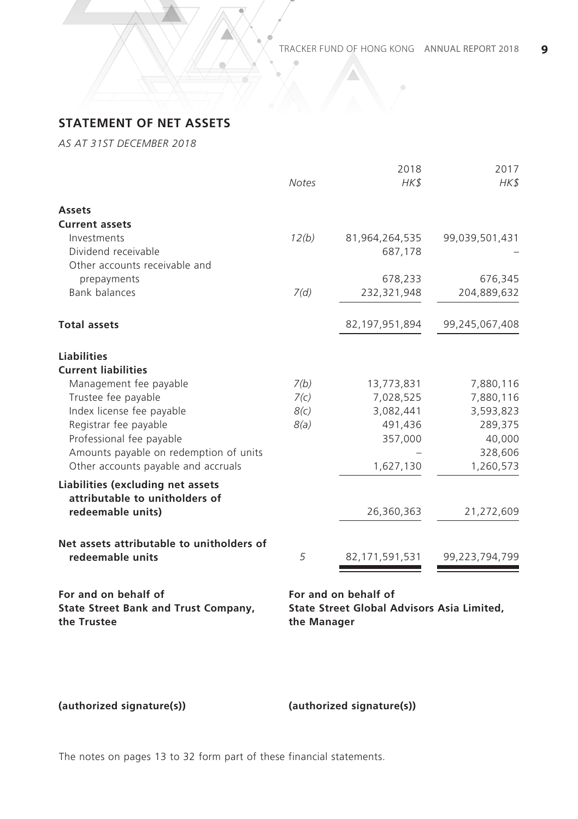# **STATEMENT OF NET ASSETS**

*AS AT 31ST DECEMBER 2018*

|                                                                     | <b>Notes</b> | 2018<br>HK\$         | 2017<br>HK\$   |
|---------------------------------------------------------------------|--------------|----------------------|----------------|
|                                                                     |              |                      |                |
| <b>Assets</b>                                                       |              |                      |                |
| <b>Current assets</b>                                               |              |                      |                |
| Investments                                                         | 12(b)        | 81,964,264,535       | 99,039,501,431 |
| Dividend receivable                                                 |              | 687,178              |                |
| Other accounts receivable and                                       |              |                      |                |
| prepayments                                                         |              | 678,233              | 676,345        |
| <b>Bank balances</b>                                                | 7(d)         | 232,321,948          | 204,889,632    |
| <b>Total assets</b>                                                 |              | 82, 197, 951, 894    | 99,245,067,408 |
| <b>Liabilities</b>                                                  |              |                      |                |
| <b>Current liabilities</b>                                          |              |                      |                |
| Management fee payable                                              | 7(b)         | 13,773,831           | 7,880,116      |
| Trustee fee payable                                                 | 7(c)         | 7,028,525            | 7,880,116      |
| Index license fee payable                                           | 8(c)         | 3,082,441            | 3,593,823      |
| Registrar fee payable                                               | 8(a)         | 491,436              | 289,375        |
| Professional fee payable                                            |              | 357,000              | 40,000         |
| Amounts payable on redemption of units                              |              |                      | 328,606        |
| Other accounts payable and accruals                                 |              | 1,627,130            | 1,260,573      |
| Liabilities (excluding net assets<br>attributable to unitholders of |              |                      |                |
| redeemable units)                                                   |              | 26,360,363           | 21,272,609     |
| Net assets attributable to unitholders of                           |              |                      |                |
| redeemable units                                                    | 5            | 82, 171, 591, 531    | 99,223,794,799 |
| For and on behalf of                                                |              | For and on behalf of |                |

**the Trustee the Manager**

**State Street Bank and Trust Company, State Street Global Advisors Asia Limited,**

**(authorized signature(s)) (authorized signature(s))**

The notes on pages 13 to 32 form part of these financial statements.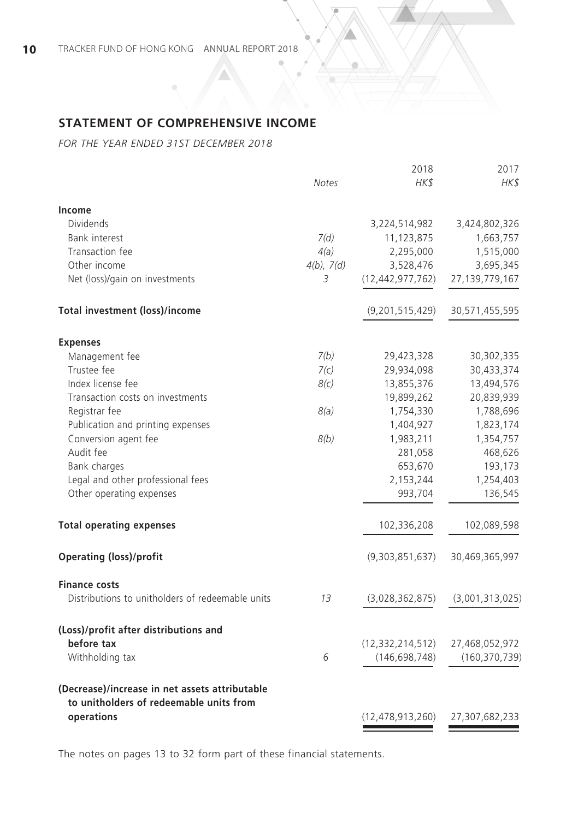# **STATEMENT OF COMPREHENSIVE INCOME**

*FOR THE YEAR ENDED 31ST DECEMBER 2018*

|                                                  |               | 2018                | 2017            |
|--------------------------------------------------|---------------|---------------------|-----------------|
|                                                  | <b>Notes</b>  | HK\$                | HK\$            |
| Income                                           |               |                     |                 |
| Dividends                                        |               | 3,224,514,982       | 3,424,802,326   |
| <b>Bank interest</b>                             | 7(d)          | 11,123,875          | 1,663,757       |
| Transaction fee                                  | 4(a)          | 2,295,000           | 1,515,000       |
| Other income                                     | $4(b)$ , 7(d) | 3,528,476           | 3,695,345       |
| Net (loss)/gain on investments                   | 3             | (12, 442, 977, 762) | 27,139,779,167  |
| Total investment (loss)/income                   |               | (9,201,515,429)     | 30,571,455,595  |
| <b>Expenses</b>                                  |               |                     |                 |
| Management fee                                   | 7(b)          | 29,423,328          | 30,302,335      |
| Trustee fee                                      | 7(c)          | 29,934,098          | 30,433,374      |
| Index license fee                                | 8(c)          | 13,855,376          | 13,494,576      |
| Transaction costs on investments                 |               | 19,899,262          | 20,839,939      |
| Registrar fee                                    | 8(a)          | 1,754,330           | 1,788,696       |
| Publication and printing expenses                |               | 1,404,927           | 1,823,174       |
| Conversion agent fee                             | 8(b)          | 1,983,211           | 1,354,757       |
| Audit fee                                        |               | 281,058             | 468,626         |
| Bank charges                                     |               | 653,670             | 193,173         |
| Legal and other professional fees                |               | 2,153,244           | 1,254,403       |
| Other operating expenses                         |               | 993,704             | 136,545         |
| <b>Total operating expenses</b>                  |               | 102,336,208         | 102,089,598     |
| <b>Operating (loss)/profit</b>                   |               | (9,303,851,637)     | 30,469,365,997  |
| <b>Finance costs</b>                             |               |                     |                 |
| Distributions to unitholders of redeemable units | 13            | (3,028,362,875)     | (3,001,313,025) |
| (Loss)/profit after distributions and            |               |                     |                 |
| before tax                                       |               | (12, 332, 214, 512) | 27,468,052,972  |
| Withholding tax                                  | 6             | (146, 698, 748)     | (160, 370, 739) |
| (Decrease)/increase in net assets attributable   |               |                     |                 |
| to unitholders of redeemable units from          |               |                     |                 |
| operations                                       |               | (12, 478, 913, 260) | 27,307,682,233  |

The notes on pages 13 to 32 form part of these financial statements.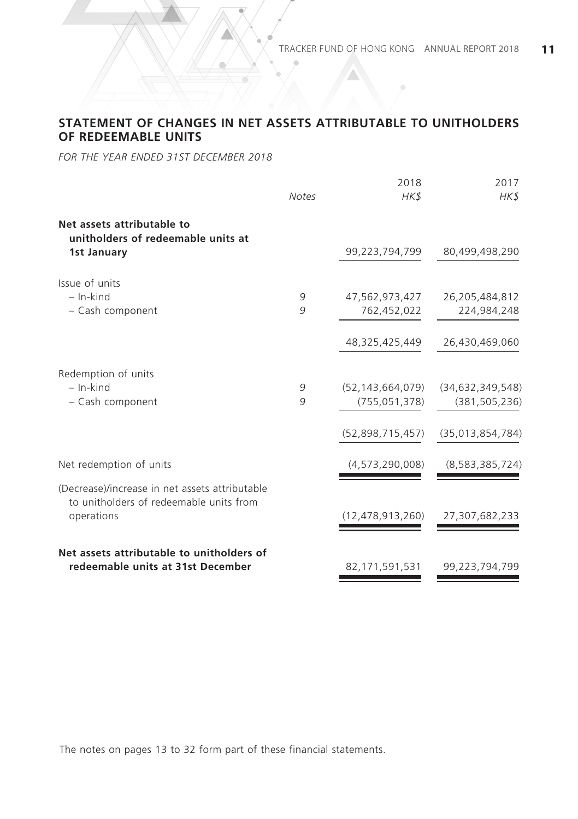# **STATEMENT OF CHANGES IN NET ASSETS ATTRIBUTABLE TO UNITHOLDERS OF REDEEMABLE UNITS**

*FOR THE YEAR ENDED 31ST DECEMBER 2018*

|                                                                                           |              | 2018                | 2017                |
|-------------------------------------------------------------------------------------------|--------------|---------------------|---------------------|
|                                                                                           | <b>Notes</b> | HK\$                | HK\$                |
| Net assets attributable to<br>unitholders of redeemable units at                          |              |                     |                     |
| 1st January                                                                               |              | 99,223,794,799      | 80,499,498,290      |
|                                                                                           |              |                     |                     |
| Issue of units                                                                            |              |                     |                     |
| $-$ In-kind                                                                               | 9            | 47,562,973,427      | 26,205,484,812      |
| - Cash component                                                                          | 9            | 762,452,022         | 224,984,248         |
|                                                                                           |              | 48,325,425,449      | 26,430,469,060      |
| Redemption of units                                                                       |              |                     |                     |
| $-$ In-kind                                                                               | 9            | (52, 143, 664, 079) | (34, 632, 349, 548) |
| - Cash component                                                                          | 9            | (755, 051, 378)     | (381, 505, 236)     |
|                                                                                           |              | (52,898,715,457)    | (35,013,854,784)    |
| Net redemption of units                                                                   |              | (4, 573, 290, 008)  | (8, 583, 385, 724)  |
| (Decrease)/increase in net assets attributable<br>to unitholders of redeemable units from |              |                     |                     |
| operations                                                                                |              | (12, 478, 913, 260) | 27,307,682,233      |
| Net assets attributable to unitholders of                                                 |              |                     |                     |
| redeemable units at 31st December                                                         |              | 82, 171, 591, 531   | 99,223,794,799      |

The notes on pages 13 to 32 form part of these financial statements.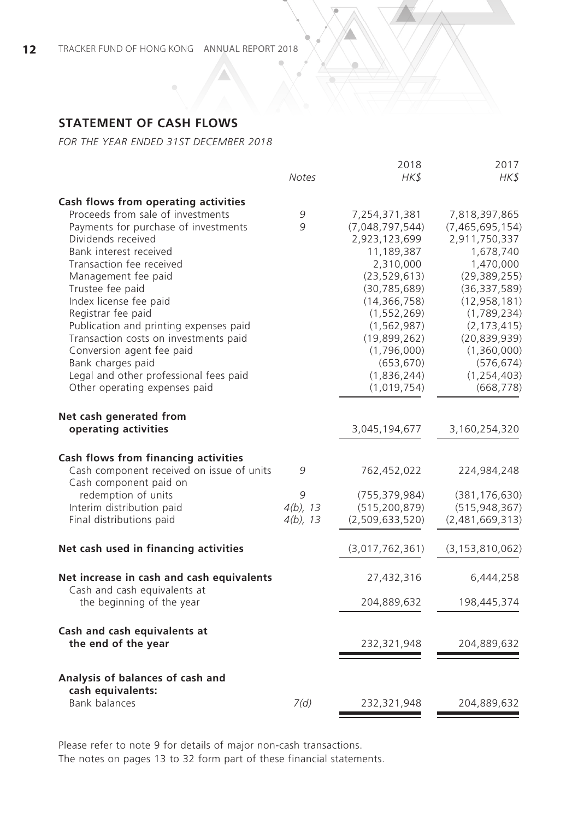# **STATEMENT OF CASH FLOWS**

*FOR THE YEAR ENDED 31ST DECEMBER 2018*

|                                           | Notes       | 2018<br>HK\$    | 2017<br>HK\$       |
|-------------------------------------------|-------------|-----------------|--------------------|
| Cash flows from operating activities      |             |                 |                    |
| Proceeds from sale of investments         | 9           | 7,254,371,381   | 7,818,397,865      |
| Payments for purchase of investments      | 9           | (7,048,797,544) | (7, 465, 695, 154) |
| Dividends received                        |             | 2,923,123,699   | 2,911,750,337      |
| Bank interest received                    |             | 11,189,387      | 1,678,740          |
| Transaction fee received                  |             | 2,310,000       | 1,470,000          |
| Management fee paid                       |             | (23, 529, 613)  | (29, 389, 255)     |
| Trustee fee paid                          |             | (30, 785, 689)  | (36, 337, 589)     |
| Index license fee paid                    |             | (14, 366, 758)  | (12, 958, 181)     |
| Registrar fee paid                        |             | (1, 552, 269)   | (1,789,234)        |
| Publication and printing expenses paid    |             | (1, 562, 987)   | (2, 173, 415)      |
| Transaction costs on investments paid     |             | (19,899,262)    | (20, 839, 939)     |
| Conversion agent fee paid                 |             | (1,796,000)     | (1,360,000)        |
| Bank charges paid                         |             | (653, 670)      | (576, 674)         |
| Legal and other professional fees paid    |             | (1,836,244)     | (1, 254, 403)      |
| Other operating expenses paid             |             | (1,019,754)     | (668, 778)         |
|                                           |             |                 |                    |
| Net cash generated from                   |             |                 |                    |
| operating activities                      |             | 3,045,194,677   | 3,160,254,320      |
| Cash flows from financing activities      |             |                 |                    |
| Cash component received on issue of units | 9           | 762,452,022     | 224,984,248        |
| Cash component paid on                    |             |                 |                    |
| redemption of units                       | 9           | (755, 379, 984) | (381, 176, 630)    |
| Interim distribution paid                 | $4(b)$ , 13 | (515, 200, 879) | (515, 948, 367)    |
| Final distributions paid                  | $4(b)$ , 13 | (2,509,633,520) | (2,481,669,313)    |
|                                           |             |                 |                    |
| Net cash used in financing activities     |             | (3,017,762,361) | (3, 153, 810, 062) |
| Net increase in cash and cash equivalents |             | 27,432,316      | 6,444,258          |
| Cash and cash equivalents at              |             |                 |                    |
| the beginning of the year                 |             | 204,889,632     | 198,445,374        |
| Cash and cash equivalents at              |             |                 |                    |
| the end of the year                       |             | 232,321,948     | 204,889,632        |
| Analysis of balances of cash and          |             |                 |                    |
| cash equivalents:                         |             |                 |                    |
| <b>Bank balances</b>                      | 7(d)        | 232,321,948     | 204,889,632        |

Please refer to note 9 for details of major non-cash transactions. The notes on pages 13 to 32 form part of these financial statements.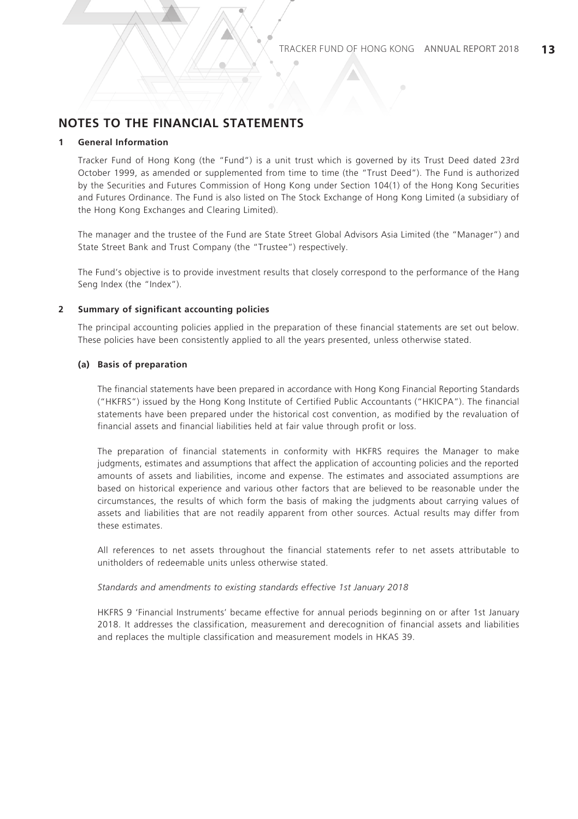### **NOTES TO THE FINANCIAL STATEMENTS**

#### **1 General Information**

Tracker Fund of Hong Kong (the "Fund") is a unit trust which is governed by its Trust Deed dated 23rd October 1999, as amended or supplemented from time to time (the "Trust Deed"). The Fund is authorized by the Securities and Futures Commission of Hong Kong under Section 104(1) of the Hong Kong Securities and Futures Ordinance. The Fund is also listed on The Stock Exchange of Hong Kong Limited (a subsidiary of the Hong Kong Exchanges and Clearing Limited).

The manager and the trustee of the Fund are State Street Global Advisors Asia Limited (the "Manager") and State Street Bank and Trust Company (the "Trustee") respectively.

The Fund's objective is to provide investment results that closely correspond to the performance of the Hang Seng Index (the "Index").

#### **2 Summary of significant accounting policies**

The principal accounting policies applied in the preparation of these financial statements are set out below. These policies have been consistently applied to all the years presented, unless otherwise stated.

#### **(a) Basis of preparation**

The financial statements have been prepared in accordance with Hong Kong Financial Reporting Standards ("HKFRS") issued by the Hong Kong Institute of Certified Public Accountants ("HKICPA"). The financial statements have been prepared under the historical cost convention, as modified by the revaluation of financial assets and financial liabilities held at fair value through profit or loss.

The preparation of financial statements in conformity with HKFRS requires the Manager to make judgments, estimates and assumptions that affect the application of accounting policies and the reported amounts of assets and liabilities, income and expense. The estimates and associated assumptions are based on historical experience and various other factors that are believed to be reasonable under the circumstances, the results of which form the basis of making the judgments about carrying values of assets and liabilities that are not readily apparent from other sources. Actual results may differ from these estimates.

All references to net assets throughout the financial statements refer to net assets attributable to unitholders of redeemable units unless otherwise stated.

#### *Standards and amendments to existing standards effective 1st January 2018*

HKFRS 9 'Financial Instruments' became effective for annual periods beginning on or after 1st January 2018. It addresses the classification, measurement and derecognition of financial assets and liabilities and replaces the multiple classification and measurement models in HKAS 39.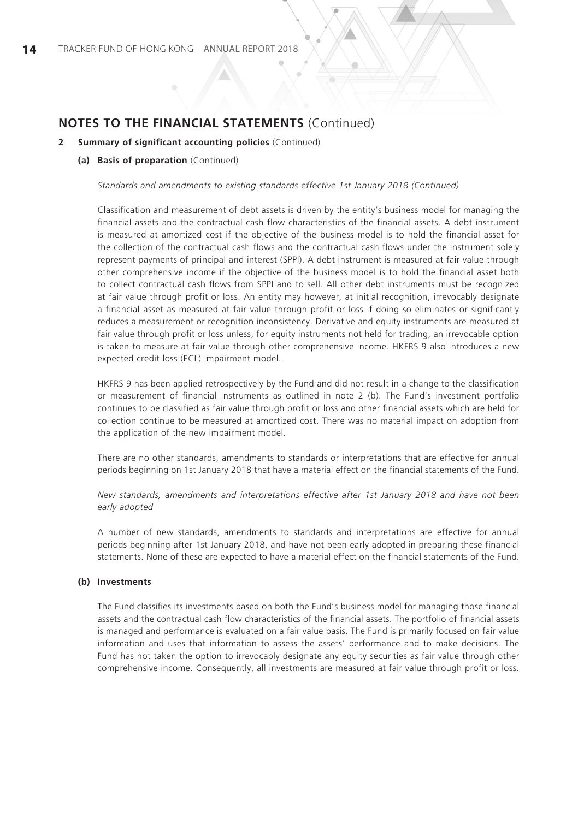#### **2 Summary of significant accounting policies** (Continued)

**(a) Basis of preparation** (Continued)

*Standards and amendments to existing standards effective 1st January 2018 (Continued)*

Classification and measurement of debt assets is driven by the entity's business model for managing the financial assets and the contractual cash flow characteristics of the financial assets. A debt instrument is measured at amortized cost if the objective of the business model is to hold the financial asset for the collection of the contractual cash flows and the contractual cash flows under the instrument solely represent payments of principal and interest (SPPI). A debt instrument is measured at fair value through other comprehensive income if the objective of the business model is to hold the financial asset both to collect contractual cash flows from SPPI and to sell. All other debt instruments must be recognized at fair value through profit or loss. An entity may however, at initial recognition, irrevocably designate a financial asset as measured at fair value through profit or loss if doing so eliminates or significantly reduces a measurement or recognition inconsistency. Derivative and equity instruments are measured at fair value through profit or loss unless, for equity instruments not held for trading, an irrevocable option is taken to measure at fair value through other comprehensive income. HKFRS 9 also introduces a new expected credit loss (ECL) impairment model.

HKFRS 9 has been applied retrospectively by the Fund and did not result in a change to the classification or measurement of financial instruments as outlined in note 2 (b). The Fund's investment portfolio continues to be classified as fair value through profit or loss and other financial assets which are held for collection continue to be measured at amortized cost. There was no material impact on adoption from the application of the new impairment model.

There are no other standards, amendments to standards or interpretations that are effective for annual periods beginning on 1st January 2018 that have a material effect on the financial statements of the Fund.

*New standards, amendments and interpretations effective after 1st January 2018 and have not been early adopted*

A number of new standards, amendments to standards and interpretations are effective for annual periods beginning after 1st January 2018, and have not been early adopted in preparing these financial statements. None of these are expected to have a material effect on the financial statements of the Fund.

#### **(b) Investments**

The Fund classifies its investments based on both the Fund's business model for managing those financial assets and the contractual cash flow characteristics of the financial assets. The portfolio of financial assets is managed and performance is evaluated on a fair value basis. The Fund is primarily focused on fair value information and uses that information to assess the assets' performance and to make decisions. The Fund has not taken the option to irrevocably designate any equity securities as fair value through other comprehensive income. Consequently, all investments are measured at fair value through profit or loss.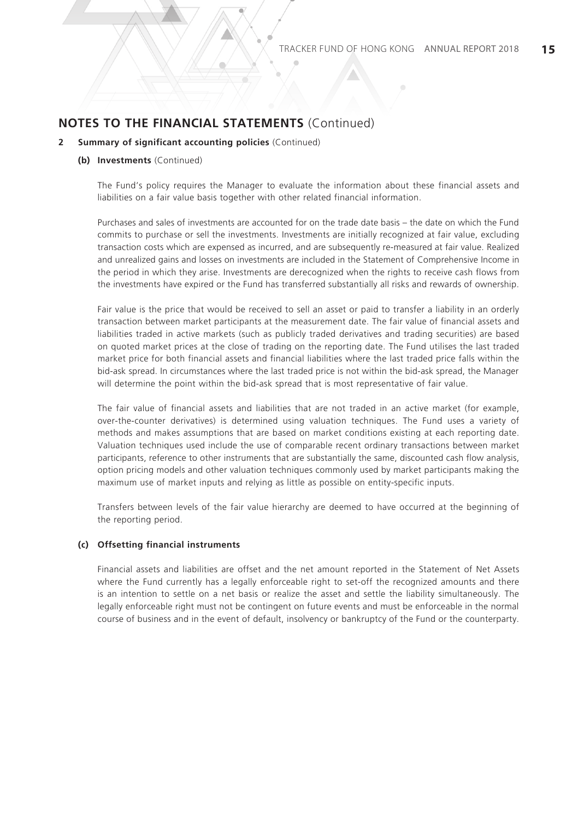#### **2 Summary of significant accounting policies** (Continued)

#### **(b) Investments** (Continued)

The Fund's policy requires the Manager to evaluate the information about these financial assets and liabilities on a fair value basis together with other related financial information.

Purchases and sales of investments are accounted for on the trade date basis – the date on which the Fund commits to purchase or sell the investments. Investments are initially recognized at fair value, excluding transaction costs which are expensed as incurred, and are subsequently re-measured at fair value. Realized and unrealized gains and losses on investments are included in the Statement of Comprehensive Income in the period in which they arise. Investments are derecognized when the rights to receive cash flows from the investments have expired or the Fund has transferred substantially all risks and rewards of ownership.

Fair value is the price that would be received to sell an asset or paid to transfer a liability in an orderly transaction between market participants at the measurement date. The fair value of financial assets and liabilities traded in active markets (such as publicly traded derivatives and trading securities) are based on quoted market prices at the close of trading on the reporting date. The Fund utilises the last traded market price for both financial assets and financial liabilities where the last traded price falls within the bid-ask spread. In circumstances where the last traded price is not within the bid-ask spread, the Manager will determine the point within the bid-ask spread that is most representative of fair value.

The fair value of financial assets and liabilities that are not traded in an active market (for example, over-the-counter derivatives) is determined using valuation techniques. The Fund uses a variety of methods and makes assumptions that are based on market conditions existing at each reporting date. Valuation techniques used include the use of comparable recent ordinary transactions between market participants, reference to other instruments that are substantially the same, discounted cash flow analysis, option pricing models and other valuation techniques commonly used by market participants making the maximum use of market inputs and relying as little as possible on entity-specific inputs.

Transfers between levels of the fair value hierarchy are deemed to have occurred at the beginning of the reporting period.

#### **(c) Offsetting financial instruments**

Financial assets and liabilities are offset and the net amount reported in the Statement of Net Assets where the Fund currently has a legally enforceable right to set-off the recognized amounts and there is an intention to settle on a net basis or realize the asset and settle the liability simultaneously. The legally enforceable right must not be contingent on future events and must be enforceable in the normal course of business and in the event of default, insolvency or bankruptcy of the Fund or the counterparty.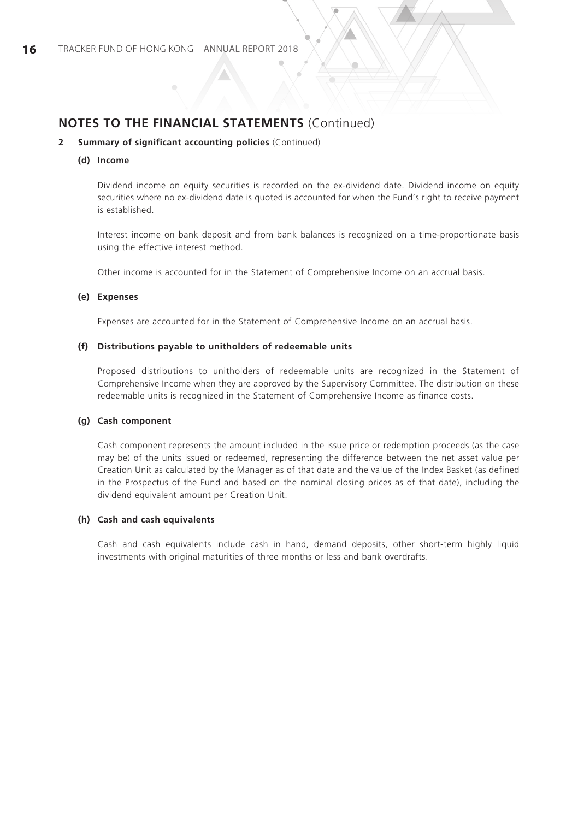#### **2 Summary of significant accounting policies** (Continued)

#### **(d) Income**

Dividend income on equity securities is recorded on the ex-dividend date. Dividend income on equity securities where no ex-dividend date is quoted is accounted for when the Fund's right to receive payment is established.

Interest income on bank deposit and from bank balances is recognized on a time-proportionate basis using the effective interest method.

Other income is accounted for in the Statement of Comprehensive Income on an accrual basis.

#### **(e) Expenses**

Expenses are accounted for in the Statement of Comprehensive Income on an accrual basis.

#### **(f) Distributions payable to unitholders of redeemable units**

Proposed distributions to unitholders of redeemable units are recognized in the Statement of Comprehensive Income when they are approved by the Supervisory Committee. The distribution on these redeemable units is recognized in the Statement of Comprehensive Income as finance costs.

#### **(g) Cash component**

Cash component represents the amount included in the issue price or redemption proceeds (as the case may be) of the units issued or redeemed, representing the difference between the net asset value per Creation Unit as calculated by the Manager as of that date and the value of the Index Basket (as defined in the Prospectus of the Fund and based on the nominal closing prices as of that date), including the dividend equivalent amount per Creation Unit.

#### **(h) Cash and cash equivalents**

Cash and cash equivalents include cash in hand, demand deposits, other short-term highly liquid investments with original maturities of three months or less and bank overdrafts.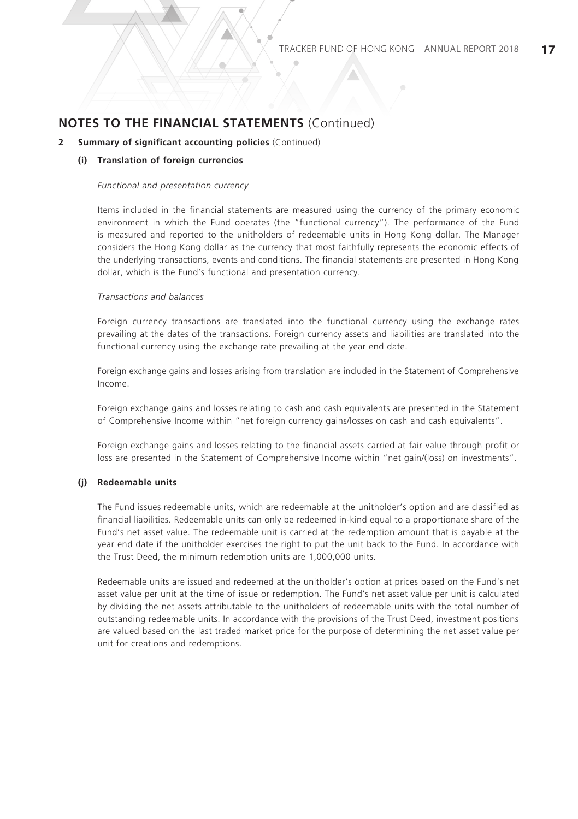#### **2 Summary of significant accounting policies** (Continued)

#### **(i) Translation of foreign currencies**

#### *Functional and presentation currency*

Items included in the financial statements are measured using the currency of the primary economic environment in which the Fund operates (the "functional currency"). The performance of the Fund is measured and reported to the unitholders of redeemable units in Hong Kong dollar. The Manager considers the Hong Kong dollar as the currency that most faithfully represents the economic effects of the underlying transactions, events and conditions. The financial statements are presented in Hong Kong dollar, which is the Fund's functional and presentation currency.

#### *Transactions and balances*

Foreign currency transactions are translated into the functional currency using the exchange rates prevailing at the dates of the transactions. Foreign currency assets and liabilities are translated into the functional currency using the exchange rate prevailing at the year end date.

Foreign exchange gains and losses arising from translation are included in the Statement of Comprehensive Income.

Foreign exchange gains and losses relating to cash and cash equivalents are presented in the Statement of Comprehensive Income within "net foreign currency gains/losses on cash and cash equivalents".

Foreign exchange gains and losses relating to the financial assets carried at fair value through profit or loss are presented in the Statement of Comprehensive Income within "net gain/(loss) on investments".

#### **(j) Redeemable units**

The Fund issues redeemable units, which are redeemable at the unitholder's option and are classified as financial liabilities. Redeemable units can only be redeemed in-kind equal to a proportionate share of the Fund's net asset value. The redeemable unit is carried at the redemption amount that is payable at the year end date if the unitholder exercises the right to put the unit back to the Fund. In accordance with the Trust Deed, the minimum redemption units are 1,000,000 units.

Redeemable units are issued and redeemed at the unitholder's option at prices based on the Fund's net asset value per unit at the time of issue or redemption. The Fund's net asset value per unit is calculated by dividing the net assets attributable to the unitholders of redeemable units with the total number of outstanding redeemable units. In accordance with the provisions of the Trust Deed, investment positions are valued based on the last traded market price for the purpose of determining the net asset value per unit for creations and redemptions.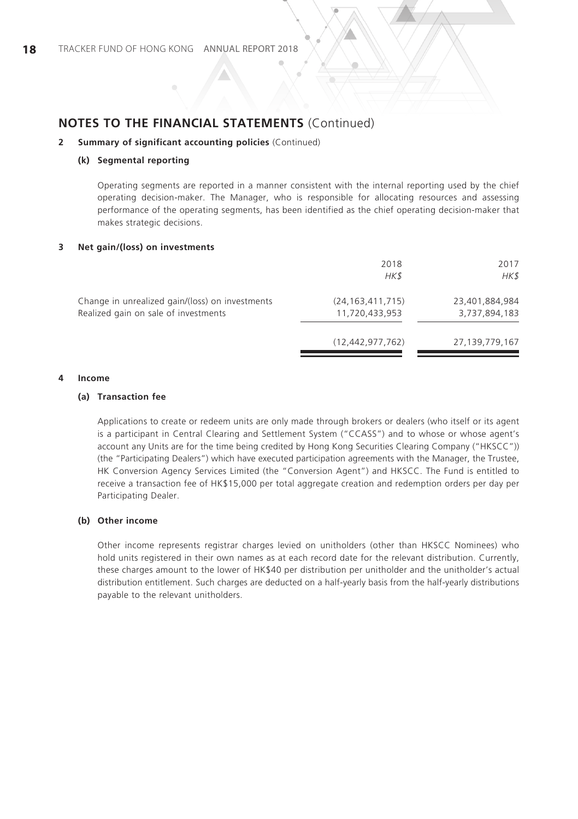#### **2 Summary of significant accounting policies** (Continued)

#### **(k) Segmental reporting**

Operating segments are reported in a manner consistent with the internal reporting used by the chief operating decision-maker. The Manager, who is responsible for allocating resources and assessing performance of the operating segments, has been identified as the chief operating decision-maker that makes strategic decisions.

#### **3 Net gain/(loss) on investments**

|                                                                                         | 2018<br>HK\$                          | 2017<br>HK\$                    |
|-----------------------------------------------------------------------------------------|---------------------------------------|---------------------------------|
| Change in unrealized gain/(loss) on investments<br>Realized gain on sale of investments | (24, 163, 411, 715)<br>11,720,433,953 | 23,401,884,984<br>3,737,894,183 |
|                                                                                         | (12, 442, 977, 762)                   | 27,139,779,167                  |

#### **4 Income**

#### **(a) Transaction fee**

Applications to create or redeem units are only made through brokers or dealers (who itself or its agent is a participant in Central Clearing and Settlement System ("CCASS") and to whose or whose agent's account any Units are for the time being credited by Hong Kong Securities Clearing Company ("HKSCC")) (the "Participating Dealers") which have executed participation agreements with the Manager, the Trustee, HK Conversion Agency Services Limited (the "Conversion Agent") and HKSCC. The Fund is entitled to receive a transaction fee of HK\$15,000 per total aggregate creation and redemption orders per day per Participating Dealer.

#### **(b) Other income**

Other income represents registrar charges levied on unitholders (other than HKSCC Nominees) who hold units registered in their own names as at each record date for the relevant distribution. Currently, these charges amount to the lower of HK\$40 per distribution per unitholder and the unitholder's actual distribution entitlement. Such charges are deducted on a half-yearly basis from the half-yearly distributions payable to the relevant unitholders.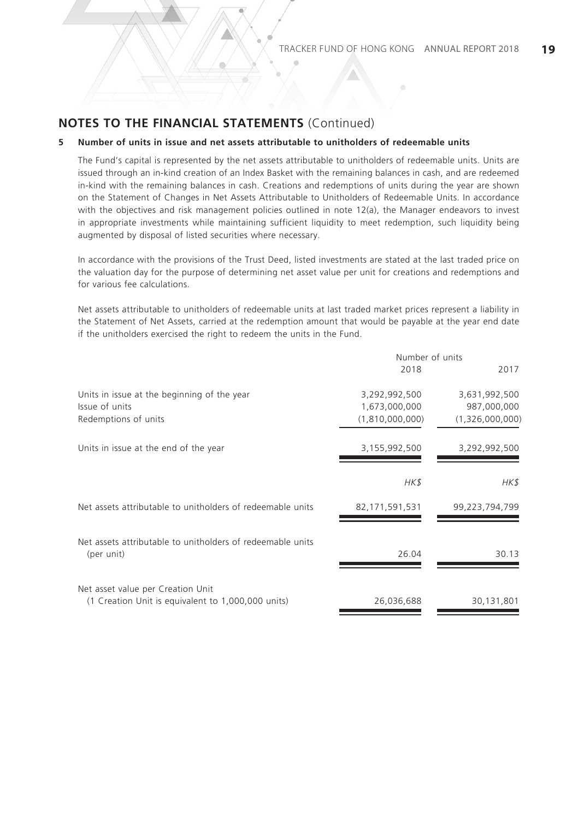#### **5 Number of units in issue and net assets attributable to unitholders of redeemable units**

The Fund's capital is represented by the net assets attributable to unitholders of redeemable units. Units are issued through an in-kind creation of an Index Basket with the remaining balances in cash, and are redeemed in-kind with the remaining balances in cash. Creations and redemptions of units during the year are shown on the Statement of Changes in Net Assets Attributable to Unitholders of Redeemable Units. In accordance with the objectives and risk management policies outlined in note 12(a), the Manager endeavors to invest in appropriate investments while maintaining sufficient liquidity to meet redemption, such liquidity being augmented by disposal of listed securities where necessary.

In accordance with the provisions of the Trust Deed, listed investments are stated at the last traded price on the valuation day for the purpose of determining net asset value per unit for creations and redemptions and for various fee calculations.

Net assets attributable to unitholders of redeemable units at last traded market prices represent a liability in the Statement of Net Assets, carried at the redemption amount that would be payable at the year end date if the unitholders exercised the right to redeem the units in the Fund.

|                                                                                         | Number of units   |                 |  |
|-----------------------------------------------------------------------------------------|-------------------|-----------------|--|
|                                                                                         | 2018              | 2017            |  |
| Units in issue at the beginning of the year                                             | 3,292,992,500     | 3,631,992,500   |  |
| Issue of units                                                                          | 1,673,000,000     | 987,000,000     |  |
| Redemptions of units                                                                    | (1,810,000,000)   | (1,326,000,000) |  |
| Units in issue at the end of the year                                                   | 3,155,992,500     | 3,292,992,500   |  |
|                                                                                         | HK\$              | HK\$            |  |
| Net assets attributable to unitholders of redeemable units                              | 82, 171, 591, 531 | 99,223,794,799  |  |
| Net assets attributable to unitholders of redeemable units<br>(per unit)                | 26.04             | 30.13           |  |
| Net asset value per Creation Unit<br>(1 Creation Unit is equivalent to 1,000,000 units) | 26,036,688        | 30,131,801      |  |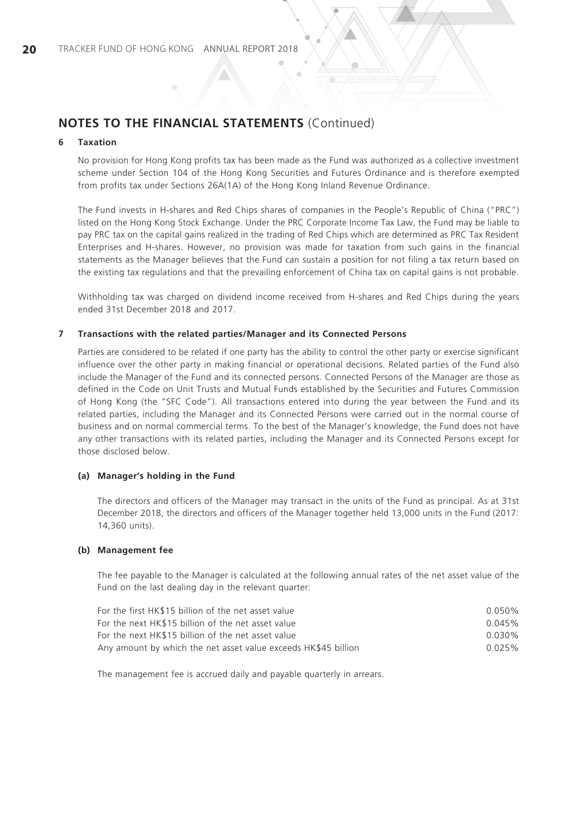#### **6 Taxation**

No provision for Hong Kong profits tax has been made as the Fund was authorized as a collective investment scheme under Section 104 of the Hong Kong Securities and Futures Ordinance and is therefore exempted from profits tax under Sections 26A(1A) of the Hong Kong Inland Revenue Ordinance.

The Fund invests in H-shares and Red Chips shares of companies in the People's Republic of China ("PRC") listed on the Hong Kong Stock Exchange. Under the PRC Corporate Income Tax Law, the Fund may be liable to pay PRC tax on the capital gains realized in the trading of Red Chips which are determined as PRC Tax Resident Enterprises and H-shares. However, no provision was made for taxation from such gains in the financial statements as the Manager believes that the Fund can sustain a position for not filing a tax return based on the existing tax regulations and that the prevailing enforcement of China tax on capital gains is not probable.

Withholding tax was charged on dividend income received from H-shares and Red Chips during the years ended 31st December 2018 and 2017.

#### **7 Transactions with the related parties/Manager and its Connected Persons**

Parties are considered to be related if one party has the ability to control the other party or exercise significant influence over the other party in making financial or operational decisions. Related parties of the Fund also include the Manager of the Fund and its connected persons. Connected Persons of the Manager are those as defined in the Code on Unit Trusts and Mutual Funds established by the Securities and Futures Commission of Hong Kong (the "SFC Code"). All transactions entered into during the year between the Fund and its related parties, including the Manager and its Connected Persons were carried out in the normal course of business and on normal commercial terms. To the best of the Manager's knowledge, the Fund does not have any other transactions with its related parties, including the Manager and its Connected Persons except for those disclosed below.

#### **(a) Manager's holding in the Fund**

The directors and officers of the Manager may transact in the units of the Fund as principal. As at 31st December 2018, the directors and officers of the Manager together held 13,000 units in the Fund (2017: 14,360 units).

#### **(b) Management fee**

The fee payable to the Manager is calculated at the following annual rates of the net asset value of the Fund on the last dealing day in the relevant quarter:

| For the first HK\$15 billion of the net asset value            | $0.050\%$ |
|----------------------------------------------------------------|-----------|
| For the next HK\$15 billion of the net asset value             | 0.045%    |
| For the next HK\$15 billion of the net asset value             | $0.030\%$ |
| Any amount by which the net asset value exceeds HK\$45 billion | 0.025%    |

The management fee is accrued daily and payable quarterly in arrears.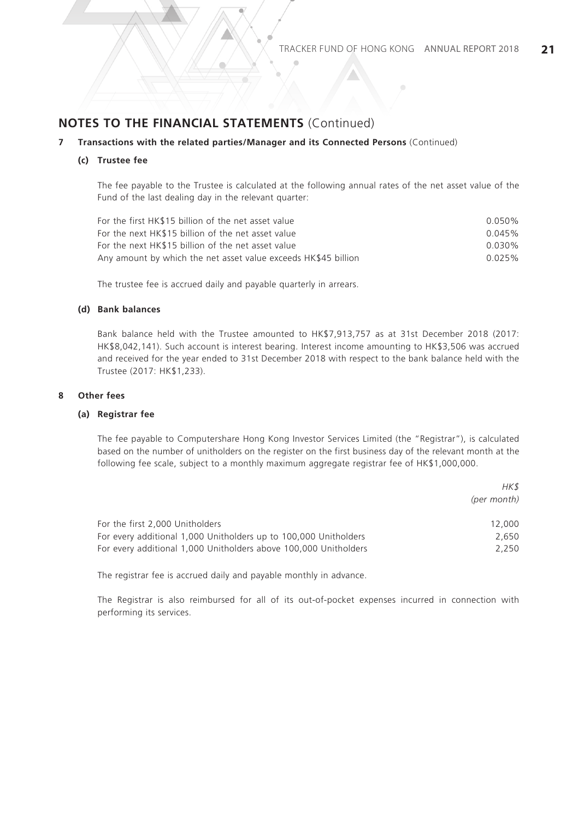#### **7 Transactions with the related parties/Manager and its Connected Persons** (Continued)

#### **(c) Trustee fee**

The fee payable to the Trustee is calculated at the following annual rates of the net asset value of the Fund of the last dealing day in the relevant quarter:

| For the first HK\$15 billion of the net asset value            | 0.050% |
|----------------------------------------------------------------|--------|
| For the next HK\$15 billion of the net asset value             | 0.045% |
| For the next HK\$15 billion of the net asset value             | 0.030% |
| Any amount by which the net asset value exceeds HK\$45 billion | 0.025% |

The trustee fee is accrued daily and payable quarterly in arrears.

#### **(d) Bank balances**

Bank balance held with the Trustee amounted to HK\$7,913,757 as at 31st December 2018 (2017: HK\$8,042,141). Such account is interest bearing. Interest income amounting to HK\$3,506 was accrued and received for the year ended to 31st December 2018 with respect to the bank balance held with the Trustee (2017: HK\$1,233).

#### **8 Other fees**

#### **(a) Registrar fee**

The fee payable to Computershare Hong Kong Investor Services Limited (the "Registrar"), is calculated based on the number of unitholders on the register on the first business day of the relevant month at the following fee scale, subject to a monthly maximum aggregate registrar fee of HK\$1,000,000.

|                                                                  | $H K$ \$    |
|------------------------------------------------------------------|-------------|
|                                                                  | (per month) |
| For the first 2,000 Unitholders                                  | 12,000      |
| For every additional 1,000 Unitholders up to 100,000 Unitholders | 2.650       |
| For every additional 1,000 Unitholders above 100,000 Unitholders | 2.250       |

The registrar fee is accrued daily and payable monthly in advance.

The Registrar is also reimbursed for all of its out-of-pocket expenses incurred in connection with performing its services.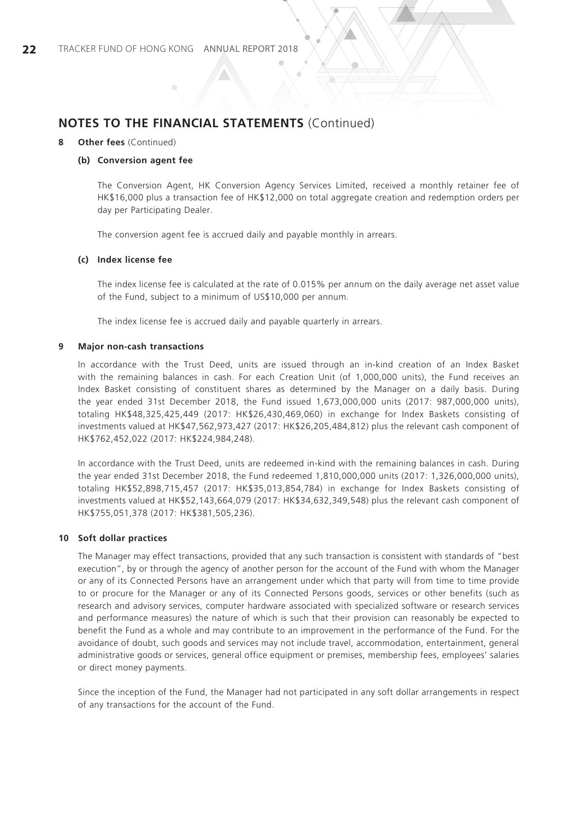#### *<u>Other fees (Continued)</u>*

#### **(b) Conversion agent fee**

The Conversion Agent, HK Conversion Agency Services Limited, received a monthly retainer fee of HK\$16,000 plus a transaction fee of HK\$12,000 on total aggregate creation and redemption orders per day per Participating Dealer.

The conversion agent fee is accrued daily and payable monthly in arrears.

#### **(c) Index license fee**

The index license fee is calculated at the rate of 0.015% per annum on the daily average net asset value of the Fund, subject to a minimum of US\$10,000 per annum.

The index license fee is accrued daily and payable quarterly in arrears.

#### **9 Major non-cash transactions**

In accordance with the Trust Deed, units are issued through an in-kind creation of an Index Basket with the remaining balances in cash. For each Creation Unit (of 1,000,000 units), the Fund receives an Index Basket consisting of constituent shares as determined by the Manager on a daily basis. During the year ended 31st December 2018, the Fund issued 1,673,000,000 units (2017: 987,000,000 units), totaling HK\$48,325,425,449 (2017: HK\$26,430,469,060) in exchange for Index Baskets consisting of investments valued at HK\$47,562,973,427 (2017: HK\$26,205,484,812) plus the relevant cash component of HK\$762,452,022 (2017: HK\$224,984,248).

In accordance with the Trust Deed, units are redeemed in-kind with the remaining balances in cash. During the year ended 31st December 2018, the Fund redeemed 1,810,000,000 units (2017: 1,326,000,000 units), totaling HK\$52,898,715,457 (2017: HK\$35,013,854,784) in exchange for Index Baskets consisting of investments valued at HK\$52,143,664,079 (2017: HK\$34,632,349,548) plus the relevant cash component of HK\$755,051,378 (2017: HK\$381,505,236).

#### **10 Soft dollar practices**

The Manager may effect transactions, provided that any such transaction is consistent with standards of "best execution", by or through the agency of another person for the account of the Fund with whom the Manager or any of its Connected Persons have an arrangement under which that party will from time to time provide to or procure for the Manager or any of its Connected Persons goods, services or other benefits (such as research and advisory services, computer hardware associated with specialized software or research services and performance measures) the nature of which is such that their provision can reasonably be expected to benefit the Fund as a whole and may contribute to an improvement in the performance of the Fund. For the avoidance of doubt, such goods and services may not include travel, accommodation, entertainment, general administrative goods or services, general office equipment or premises, membership fees, employees' salaries or direct money payments.

Since the inception of the Fund, the Manager had not participated in any soft dollar arrangements in respect of any transactions for the account of the Fund.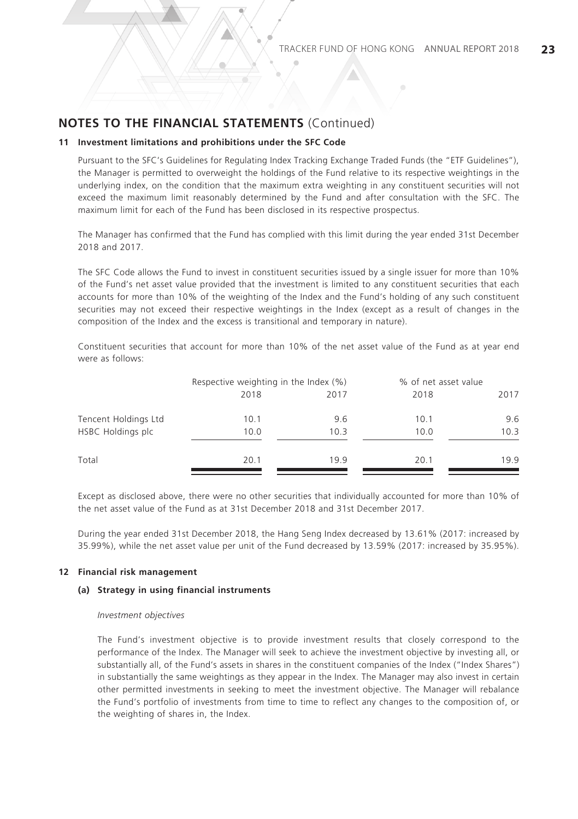#### **11 Investment limitations and prohibitions under the SFC Code**

Pursuant to the SFC's Guidelines for Regulating Index Tracking Exchange Traded Funds (the "ETF Guidelines"), the Manager is permitted to overweight the holdings of the Fund relative to its respective weightings in the underlying index, on the condition that the maximum extra weighting in any constituent securities will not exceed the maximum limit reasonably determined by the Fund and after consultation with the SFC. The maximum limit for each of the Fund has been disclosed in its respective prospectus.

The Manager has confirmed that the Fund has complied with this limit during the year ended 31st December 2018 and 2017.

The SFC Code allows the Fund to invest in constituent securities issued by a single issuer for more than 10% of the Fund's net asset value provided that the investment is limited to any constituent securities that each accounts for more than 10% of the weighting of the Index and the Fund's holding of any such constituent securities may not exceed their respective weightings in the Index (except as a result of changes in the composition of the Index and the excess is transitional and temporary in nature).

Constituent securities that account for more than 10% of the net asset value of the Fund as at year end were as follows:

| Respective weighting in the Index (%) |      | % of net asset value |      |
|---------------------------------------|------|----------------------|------|
| 2018                                  | 2017 | 2018                 | 2017 |
| 10.1                                  | 9.6  | 10.1                 | 9.6  |
| 10.0                                  | 10.3 | 10.0                 | 10.3 |
| 20.1                                  | 19.9 | 20.1                 | 19.9 |
|                                       |      |                      |      |

Except as disclosed above, there were no other securities that individually accounted for more than 10% of the net asset value of the Fund as at 31st December 2018 and 31st December 2017.

During the year ended 31st December 2018, the Hang Seng Index decreased by 13.61% (2017: increased by 35.99%), while the net asset value per unit of the Fund decreased by 13.59% (2017: increased by 35.95%).

#### **12 Financial risk management**

#### **(a) Strategy in using financial instruments**

#### *Investment objectives*

The Fund's investment objective is to provide investment results that closely correspond to the performance of the Index. The Manager will seek to achieve the investment objective by investing all, or substantially all, of the Fund's assets in shares in the constituent companies of the Index ("Index Shares") in substantially the same weightings as they appear in the Index. The Manager may also invest in certain other permitted investments in seeking to meet the investment objective. The Manager will rebalance the Fund's portfolio of investments from time to time to reflect any changes to the composition of, or the weighting of shares in, the Index.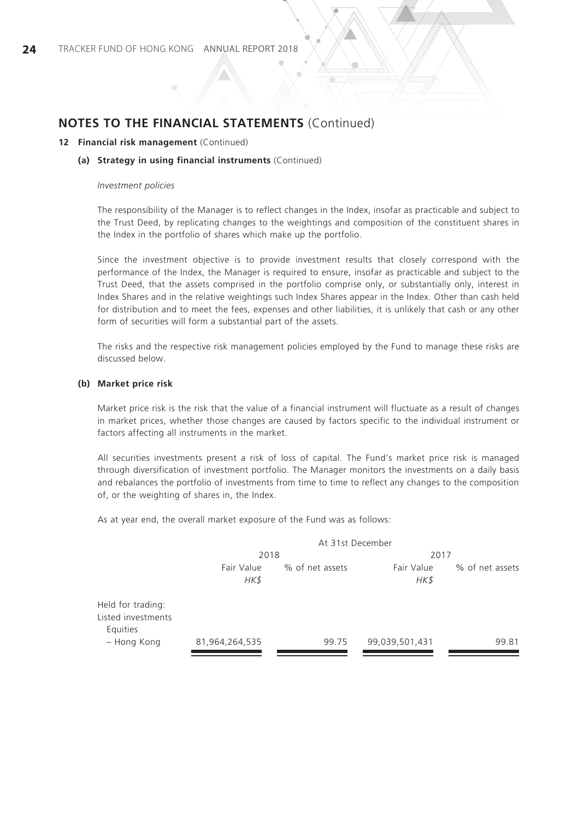#### **12 Financial risk management** (Continued)

#### **(a) Strategy in using financial instruments** (Continued)

#### *Investment policies*

The responsibility of the Manager is to reflect changes in the Index, insofar as practicable and subject to the Trust Deed, by replicating changes to the weightings and composition of the constituent shares in the Index in the portfolio of shares which make up the portfolio.

Since the investment objective is to provide investment results that closely correspond with the performance of the Index, the Manager is required to ensure, insofar as practicable and subject to the Trust Deed, that the assets comprised in the portfolio comprise only, or substantially only, interest in Index Shares and in the relative weightings such Index Shares appear in the Index. Other than cash held for distribution and to meet the fees, expenses and other liabilities, it is unlikely that cash or any other form of securities will form a substantial part of the assets.

The risks and the respective risk management policies employed by the Fund to manage these risks are discussed below.

#### **(b) Market price risk**

Market price risk is the risk that the value of a financial instrument will fluctuate as a result of changes in market prices, whether those changes are caused by factors specific to the individual instrument or factors affecting all instruments in the market.

All securities investments present a risk of loss of capital. The Fund's market price risk is managed through diversification of investment portfolio. The Manager monitors the investments on a daily basis and rebalances the portfolio of investments from time to time to reflect any changes to the composition of, or the weighting of shares in, the Index.

As at year end, the overall market exposure of the Fund was as follows:

|                                                     | At 31st December   |                 |                    |                 |
|-----------------------------------------------------|--------------------|-----------------|--------------------|-----------------|
|                                                     |                    | 2018            |                    | 2017            |
|                                                     | Fair Value<br>HK\$ | % of net assets | Fair Value<br>HK\$ | % of net assets |
| Held for trading:<br>Listed investments<br>Equities |                    |                 |                    |                 |
| - Hong Kong                                         | 81,964,264,535     | 99.75           | 99,039,501,431     | 99.81           |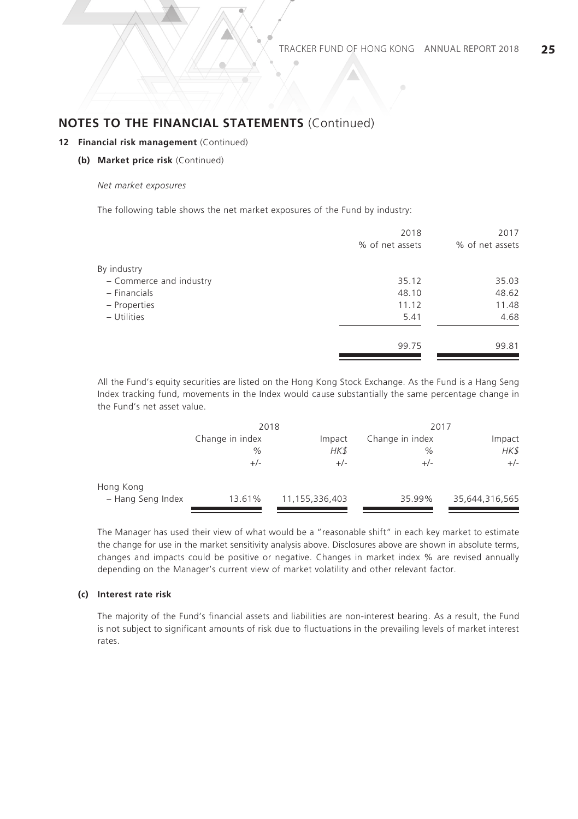#### **12 Financial risk management** (Continued)

**(b) Market price risk** (Continued)

#### *Net market exposures*

The following table shows the net market exposures of the Fund by industry:

|                         | 2018            | 2017            |
|-------------------------|-----------------|-----------------|
|                         | % of net assets | % of net assets |
| By industry             |                 |                 |
| - Commerce and industry | 35.12           | 35.03           |
| - Financials            | 48.10           | 48.62           |
| - Properties            | 11.12           | 11.48           |
| - Utilities             | 5.41            | 4.68            |
|                         | 99.75           | 99.81           |

All the Fund's equity securities are listed on the Hong Kong Stock Exchange. As the Fund is a Hang Seng Index tracking fund, movements in the Index would cause substantially the same percentage change in the Fund's net asset value.

|                   | 2018            |                | 2017   |                |
|-------------------|-----------------|----------------|--------|----------------|
|                   | Change in index | Impact         |        | Impact         |
|                   | $\%$            | HK\$           | $\%$   | HK\$           |
|                   | $+/-$           | $+/-$          | $+/-$  | $+/-$          |
| Hong Kong         |                 |                |        |                |
| - Hang Seng Index | 13.61%          | 11,155,336,403 | 35.99% | 35,644,316,565 |

The Manager has used their view of what would be a "reasonable shift" in each key market to estimate the change for use in the market sensitivity analysis above. Disclosures above are shown in absolute terms, changes and impacts could be positive or negative. Changes in market index % are revised annually depending on the Manager's current view of market volatility and other relevant factor.

#### **(c) Interest rate risk**

The majority of the Fund's financial assets and liabilities are non-interest bearing. As a result, the Fund is not subject to significant amounts of risk due to fluctuations in the prevailing levels of market interest rates.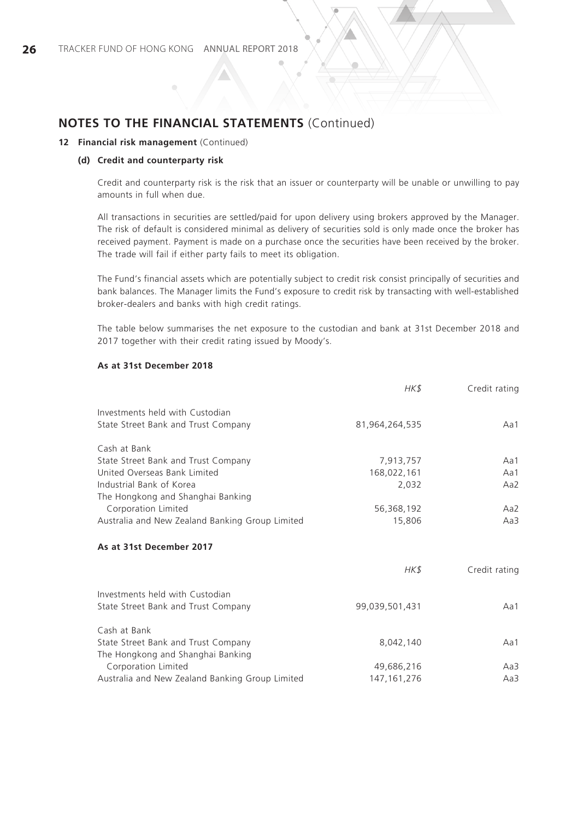#### **12 Financial risk management** (Continued)

#### **(d) Credit and counterparty risk**

Credit and counterparty risk is the risk that an issuer or counterparty will be unable or unwilling to pay amounts in full when due.

All transactions in securities are settled/paid for upon delivery using brokers approved by the Manager. The risk of default is considered minimal as delivery of securities sold is only made once the broker has received payment. Payment is made on a purchase once the securities have been received by the broker. The trade will fail if either party fails to meet its obligation.

The Fund's financial assets which are potentially subject to credit risk consist principally of securities and bank balances. The Manager limits the Fund's exposure to credit risk by transacting with well-established broker-dealers and banks with high credit ratings.

The table below summarises the net exposure to the custodian and bank at 31st December 2018 and 2017 together with their credit rating issued by Moody's.

#### **As at 31st December 2018**

|                                                 | HK\$           | Credit rating |
|-------------------------------------------------|----------------|---------------|
| Investments held with Custodian                 |                |               |
| State Street Bank and Trust Company             | 81.964.264.535 | Aa1           |
| Cash at Bank                                    |                |               |
| State Street Bank and Trust Company             | 7,913,757      | Aa1           |
| United Overseas Bank Limited                    | 168,022,161    | Aa1           |
| Industrial Bank of Korea                        | 2,032          | Aa2           |
| The Hongkong and Shanghai Banking               |                |               |
| Corporation Limited                             | 56,368,192     | Aa2           |
| Australia and New Zealand Banking Group Limited | 15,806         | Aa3           |
| As at 31st December 2017                        |                |               |
|                                                 | HK\$           | Credit rating |
| Investments held with Custodian                 |                |               |
| State Street Bank and Trust Company             | 99,039,501,431 | Aa1           |
| Cash at Bank                                    |                |               |
| State Street Bank and Trust Company             | 8.042.140      | Aa1           |
| The Hongkong and Shanghai Banking               |                |               |
| Corporation Limited                             | 49,686,216     | Aa3           |
| Australia and New Zealand Banking Group Limited | 147, 161, 276  | Aa3           |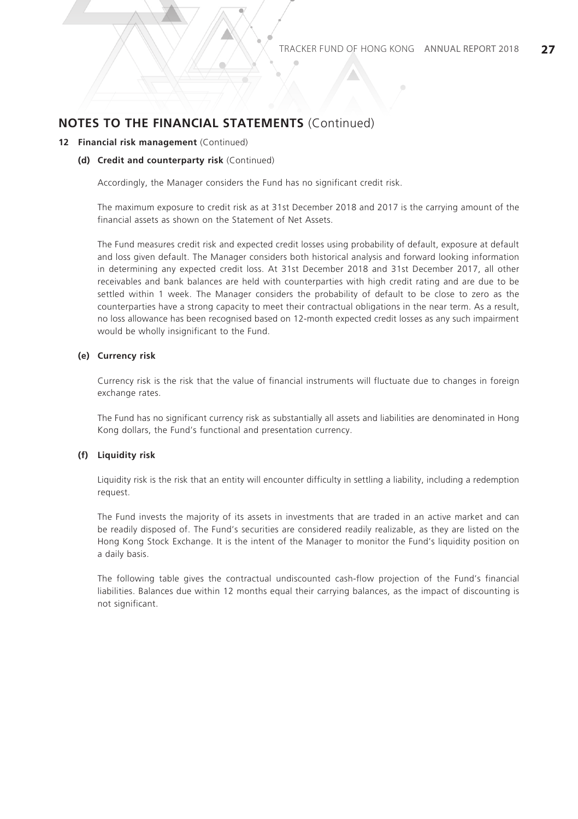#### **12 Financial risk management** (Continued)

#### **(d) Credit and counterparty risk** (Continued)

Accordingly, the Manager considers the Fund has no significant credit risk.

The maximum exposure to credit risk as at 31st December 2018 and 2017 is the carrying amount of the financial assets as shown on the Statement of Net Assets.

The Fund measures credit risk and expected credit losses using probability of default, exposure at default and loss given default. The Manager considers both historical analysis and forward looking information in determining any expected credit loss. At 31st December 2018 and 31st December 2017, all other receivables and bank balances are held with counterparties with high credit rating and are due to be settled within 1 week. The Manager considers the probability of default to be close to zero as the counterparties have a strong capacity to meet their contractual obligations in the near term. As a result, no loss allowance has been recognised based on 12-month expected credit losses as any such impairment would be wholly insignificant to the Fund.

#### **(e) Currency risk**

Currency risk is the risk that the value of financial instruments will fluctuate due to changes in foreign exchange rates.

The Fund has no significant currency risk as substantially all assets and liabilities are denominated in Hong Kong dollars, the Fund's functional and presentation currency.

#### **(f) Liquidity risk**

Liquidity risk is the risk that an entity will encounter difficulty in settling a liability, including a redemption request.

The Fund invests the majority of its assets in investments that are traded in an active market and can be readily disposed of. The Fund's securities are considered readily realizable, as they are listed on the Hong Kong Stock Exchange. It is the intent of the Manager to monitor the Fund's liquidity position on a daily basis.

The following table gives the contractual undiscounted cash-flow projection of the Fund's financial liabilities. Balances due within 12 months equal their carrying balances, as the impact of discounting is not significant.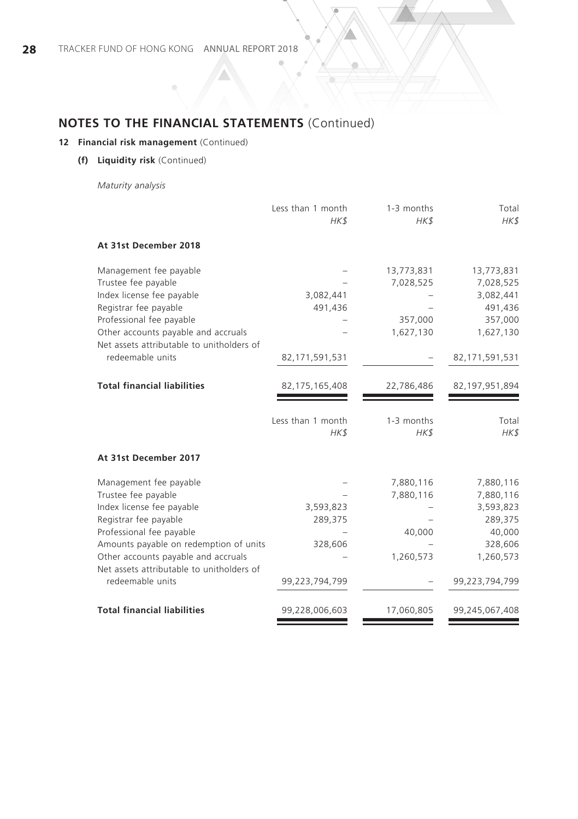Λ

### **12 Financial risk management** (Continued)

**(f) Liquidity risk** (Continued)

*Maturity analysis*

|                                                                                  | Less than 1 month<br>HK\$ | 1-3 months<br>HK\$ | Total<br>HK\$     |
|----------------------------------------------------------------------------------|---------------------------|--------------------|-------------------|
| At 31st December 2018                                                            |                           |                    |                   |
| Management fee payable                                                           |                           | 13,773,831         | 13,773,831        |
| Trustee fee payable                                                              |                           | 7,028,525          | 7,028,525         |
| Index license fee payable                                                        | 3,082,441                 |                    | 3,082,441         |
| Registrar fee payable                                                            | 491,436                   |                    | 491,436           |
| Professional fee payable                                                         |                           | 357,000            | 357,000           |
| Other accounts payable and accruals<br>Net assets attributable to unitholders of |                           | 1,627,130          | 1,627,130         |
| redeemable units                                                                 | 82, 171, 591, 531         |                    | 82, 171, 591, 531 |
|                                                                                  |                           |                    |                   |
| <b>Total financial liabilities</b>                                               | 82, 175, 165, 408         | 22,786,486         | 82,197,951,894    |
|                                                                                  | Less than 1 month         | 1-3 months         | Total             |
|                                                                                  | HK\$                      | HK\$               | HK\$              |
| At 31st December 2017                                                            |                           |                    |                   |
| Management fee payable                                                           |                           | 7,880,116          | 7,880,116         |
| Trustee fee payable                                                              |                           | 7,880,116          | 7,880,116         |
| Index license fee payable                                                        | 3,593,823                 |                    | 3,593,823         |
| Registrar fee payable                                                            | 289,375                   |                    | 289,375           |
| Professional fee payable                                                         |                           | 40,000             | 40,000            |
| Amounts payable on redemption of units                                           | 328,606                   |                    | 328,606           |
| Other accounts payable and accruals                                              |                           | 1,260,573          | 1,260,573         |
| Net assets attributable to unitholders of<br>redeemable units                    |                           |                    |                   |
|                                                                                  |                           |                    |                   |
|                                                                                  | 99,223,794,799            |                    | 99,223,794,799    |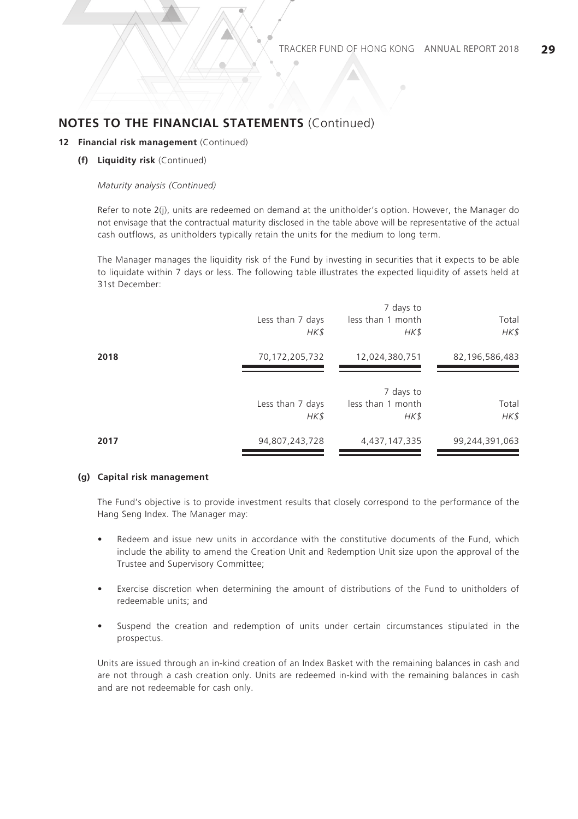#### **12 Financial risk management** (Continued)

**(f) Liquidity risk** (Continued)

#### *Maturity analysis (Continued)*

Refer to note 2(j), units are redeemed on demand at the unitholder's option. However, the Manager do not envisage that the contractual maturity disclosed in the table above will be representative of the actual cash outflows, as unitholders typically retain the units for the medium to long term.

The Manager manages the liquidity risk of the Fund by investing in securities that it expects to be able to liquidate within 7 days or less. The following table illustrates the expected liquidity of assets held at 31st December:

|      | Less than 7 days<br>HK\$ | 7 days to<br>less than 1 month<br>HK\$ | Total<br>HK\$  |
|------|--------------------------|----------------------------------------|----------------|
| 2018 | 70,172,205,732           | 12,024,380,751                         | 82,196,586,483 |
|      | Less than 7 days<br>HK\$ | 7 days to<br>less than 1 month<br>HK\$ | Total<br>HK\$  |
| 2017 | 94,807,243,728           | 4,437,147,335                          | 99,244,391,063 |

#### **(g) Capital risk management**

The Fund's objective is to provide investment results that closely correspond to the performance of the Hang Seng Index. The Manager may:

- Redeem and issue new units in accordance with the constitutive documents of the Fund, which include the ability to amend the Creation Unit and Redemption Unit size upon the approval of the Trustee and Supervisory Committee;
- Exercise discretion when determining the amount of distributions of the Fund to unitholders of redeemable units; and
- Suspend the creation and redemption of units under certain circumstances stipulated in the prospectus.

Units are issued through an in-kind creation of an Index Basket with the remaining balances in cash and are not through a cash creation only. Units are redeemed in-kind with the remaining balances in cash and are not redeemable for cash only.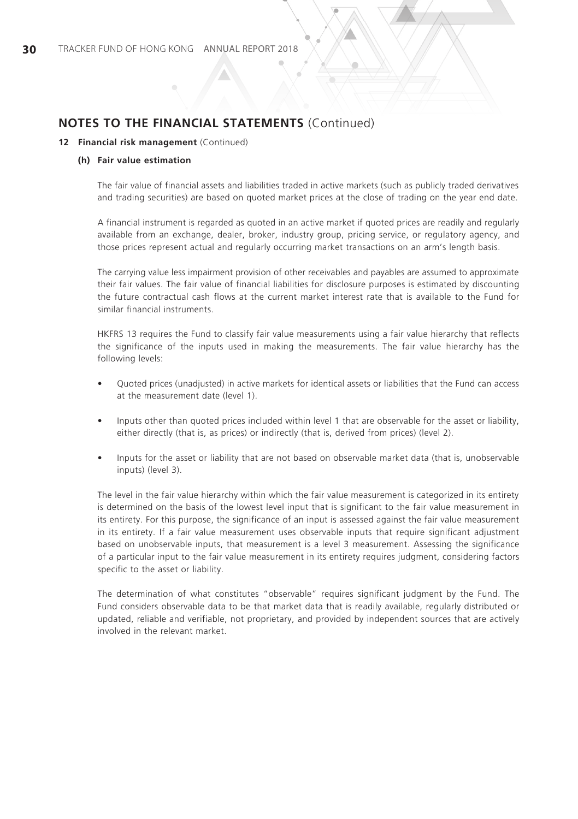#### **12 Financial risk management** (Continued)

#### **(h) Fair value estimation**

The fair value of financial assets and liabilities traded in active markets (such as publicly traded derivatives and trading securities) are based on quoted market prices at the close of trading on the year end date.

A financial instrument is regarded as quoted in an active market if quoted prices are readily and regularly available from an exchange, dealer, broker, industry group, pricing service, or regulatory agency, and those prices represent actual and regularly occurring market transactions on an arm's length basis.

The carrying value less impairment provision of other receivables and payables are assumed to approximate their fair values. The fair value of financial liabilities for disclosure purposes is estimated by discounting the future contractual cash flows at the current market interest rate that is available to the Fund for similar financial instruments.

HKFRS 13 requires the Fund to classify fair value measurements using a fair value hierarchy that reflects the significance of the inputs used in making the measurements. The fair value hierarchy has the following levels:

- Quoted prices (unadjusted) in active markets for identical assets or liabilities that the Fund can access at the measurement date (level 1).
- Inputs other than quoted prices included within level 1 that are observable for the asset or liability, either directly (that is, as prices) or indirectly (that is, derived from prices) (level 2).
- Inputs for the asset or liability that are not based on observable market data (that is, unobservable inputs) (level 3).

The level in the fair value hierarchy within which the fair value measurement is categorized in its entirety is determined on the basis of the lowest level input that is significant to the fair value measurement in its entirety. For this purpose, the significance of an input is assessed against the fair value measurement in its entirety. If a fair value measurement uses observable inputs that require significant adjustment based on unobservable inputs, that measurement is a level 3 measurement. Assessing the significance of a particular input to the fair value measurement in its entirety requires judgment, considering factors specific to the asset or liability.

The determination of what constitutes "observable" requires significant judgment by the Fund. The Fund considers observable data to be that market data that is readily available, regularly distributed or updated, reliable and verifiable, not proprietary, and provided by independent sources that are actively involved in the relevant market.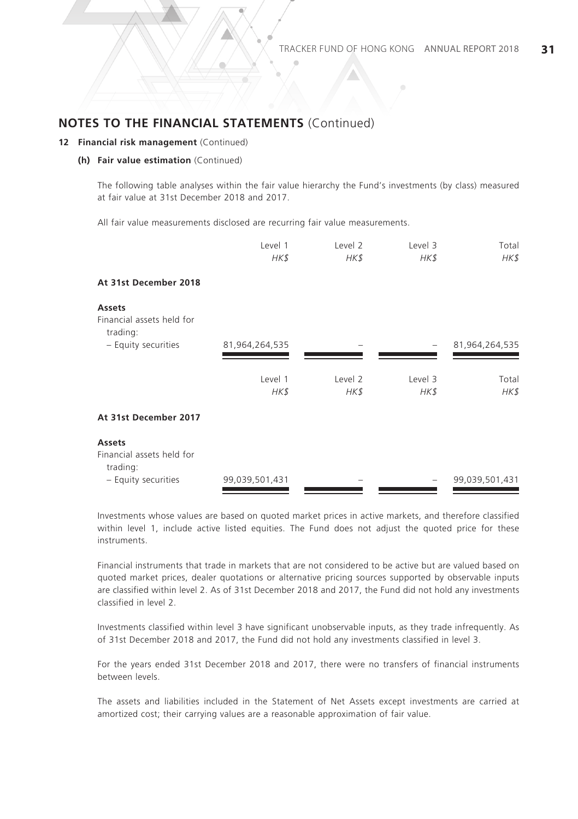#### **12 Financial risk management** (Continued)

#### **(h) Fair value estimation** (Continued)

The following table analyses within the fair value hierarchy the Fund's investments (by class) measured at fair value at 31st December 2018 and 2017.

All fair value measurements disclosed are recurring fair value measurements.

|                                                 | Level 1         | Level 2         | Level 3         | Total          |
|-------------------------------------------------|-----------------|-----------------|-----------------|----------------|
|                                                 | HK\$            | HK\$            | HK\$            | HK\$           |
| At 31st December 2018                           |                 |                 |                 |                |
| Assets<br>Financial assets held for<br>trading: |                 |                 |                 |                |
| - Equity securities                             | 81,964,264,535  |                 |                 | 81,964,264,535 |
|                                                 |                 |                 |                 |                |
|                                                 | Level 1<br>HK\$ | Level 2<br>HK\$ | Level 3<br>HK\$ | Total<br>HK\$  |
| At 31st December 2017                           |                 |                 |                 |                |
| Assets<br>Financial assets held for<br>trading: |                 |                 |                 |                |
| - Equity securities                             | 99,039,501,431  |                 |                 | 99,039,501,431 |

Investments whose values are based on quoted market prices in active markets, and therefore classified within level 1, include active listed equities. The Fund does not adjust the quoted price for these instruments.

Financial instruments that trade in markets that are not considered to be active but are valued based on quoted market prices, dealer quotations or alternative pricing sources supported by observable inputs are classified within level 2. As of 31st December 2018 and 2017, the Fund did not hold any investments classified in level 2.

Investments classified within level 3 have significant unobservable inputs, as they trade infrequently. As of 31st December 2018 and 2017, the Fund did not hold any investments classified in level 3.

For the years ended 31st December 2018 and 2017, there were no transfers of financial instruments between levels.

The assets and liabilities included in the Statement of Net Assets except investments are carried at amortized cost; their carrying values are a reasonable approximation of fair value.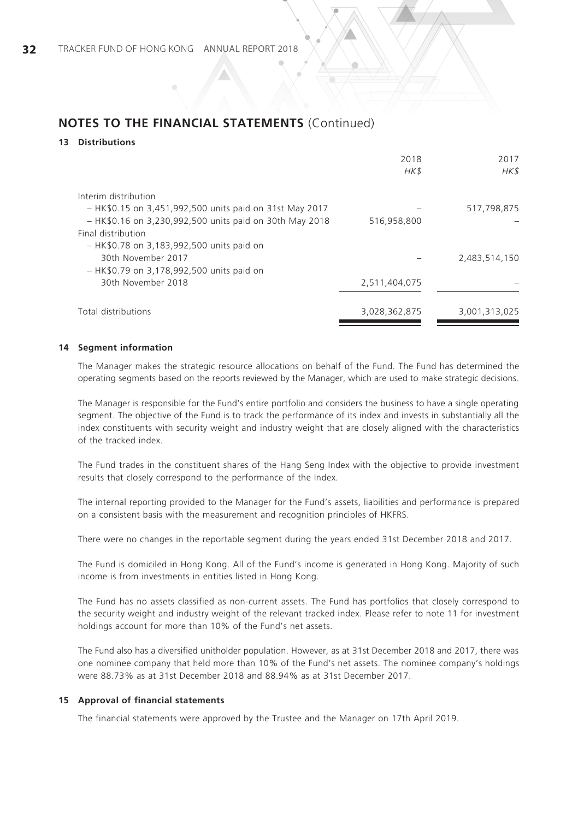#### **13 Distributions**

|                                                                                                                                            | 2018<br>HK\$  | 2017<br>HK\$  |
|--------------------------------------------------------------------------------------------------------------------------------------------|---------------|---------------|
| Interim distribution<br>- HK\$0.15 on 3,451,992,500 units paid on 31st May 2017<br>- HK\$0.16 on 3,230,992,500 units paid on 30th May 2018 | 516,958,800   | 517.798.875   |
| Final distribution<br>- HK\$0.78 on 3,183,992,500 units paid on<br>30th November 2017                                                      |               | 2,483,514,150 |
| - HK\$0.79 on 3,178,992,500 units paid on<br>30th November 2018                                                                            | 2,511,404,075 |               |
| Total distributions                                                                                                                        | 3,028,362,875 | 3,001,313,025 |

#### **14 Segment information**

The Manager makes the strategic resource allocations on behalf of the Fund. The Fund has determined the operating segments based on the reports reviewed by the Manager, which are used to make strategic decisions.

The Manager is responsible for the Fund's entire portfolio and considers the business to have a single operating segment. The objective of the Fund is to track the performance of its index and invests in substantially all the index constituents with security weight and industry weight that are closely aligned with the characteristics of the tracked index.

The Fund trades in the constituent shares of the Hang Seng Index with the objective to provide investment results that closely correspond to the performance of the Index.

The internal reporting provided to the Manager for the Fund's assets, liabilities and performance is prepared on a consistent basis with the measurement and recognition principles of HKFRS.

There were no changes in the reportable segment during the years ended 31st December 2018 and 2017.

The Fund is domiciled in Hong Kong. All of the Fund's income is generated in Hong Kong. Majority of such income is from investments in entities listed in Hong Kong.

The Fund has no assets classified as non-current assets. The Fund has portfolios that closely correspond to the security weight and industry weight of the relevant tracked index. Please refer to note 11 for investment holdings account for more than 10% of the Fund's net assets.

The Fund also has a diversified unitholder population. However, as at 31st December 2018 and 2017, there was one nominee company that held more than 10% of the Fund's net assets. The nominee company's holdings were 88.73% as at 31st December 2018 and 88.94% as at 31st December 2017.

#### **15 Approval of financial statements**

The financial statements were approved by the Trustee and the Manager on 17th April 2019.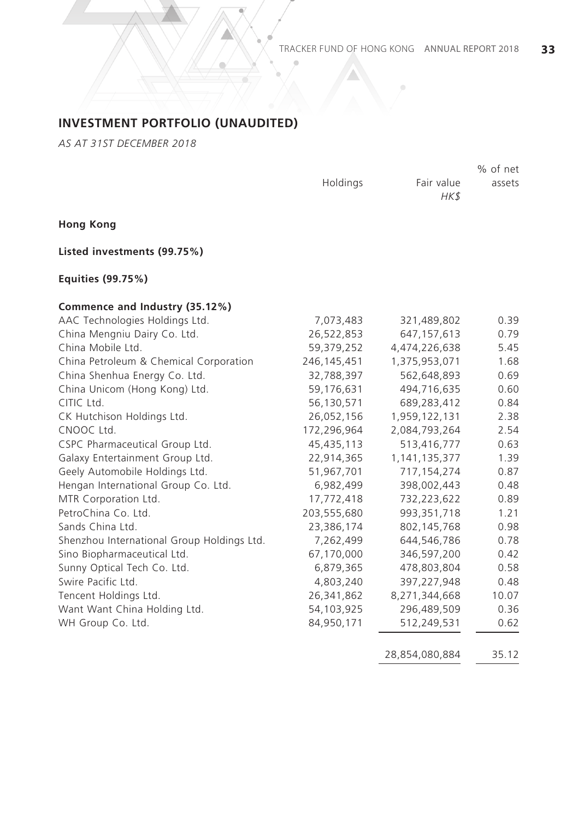# **INVESTMENT PORTFOLIO (UNAUDITED)**

*AS AT 31ST DECEMBER 2018*

|                                |            |                    | % of net |
|--------------------------------|------------|--------------------|----------|
|                                | Holdings   | Fair value<br>HK\$ | assets   |
| Hong Kong                      |            |                    |          |
| Listed investments (99.75%)    |            |                    |          |
| Equities (99.75%)              |            |                    |          |
| Commence and Industry (35.12%) |            |                    |          |
| AAC Technologies Holdings Ltd. | 7,073,483  | 321,489,802        | 0.39     |
| China Mengniu Dairy Co. Ltd.   | 26,522,853 | 647, 157, 613      | 0.79     |
| China Mobile Itd               | 59 379 252 | 1 171 776 638      | 5 15     |

| Crimia ivierighta Dally Co. Ltd.           | LU,JLL,UJJ    | U+1, IJ1, UIJ | v. 1 J |
|--------------------------------------------|---------------|---------------|--------|
| China Mobile Ltd.                          | 59,379,252    | 4,474,226,638 | 5.45   |
| China Petroleum & Chemical Corporation     | 246, 145, 451 | 1,375,953,071 | 1.68   |
| China Shenhua Energy Co. Ltd.              | 32,788,397    | 562,648,893   | 0.69   |
| China Unicom (Hong Kong) Ltd.              | 59,176,631    | 494,716,635   | 0.60   |
| CITIC Ltd.                                 | 56,130,571    | 689,283,412   | 0.84   |
| CK Hutchison Holdings Ltd.                 | 26,052,156    | 1,959,122,131 | 2.38   |
| CNOOC Ltd.                                 | 172,296,964   | 2,084,793,264 | 2.54   |
| CSPC Pharmaceutical Group Ltd.             | 45,435,113    | 513,416,777   | 0.63   |
| Galaxy Entertainment Group Ltd.            | 22,914,365    | 1,141,135,377 | 1.39   |
| Geely Automobile Holdings Ltd.             | 51,967,701    | 717,154,274   | 0.87   |
| Hengan International Group Co. Ltd.        | 6,982,499     | 398,002,443   | 0.48   |
| MTR Corporation Ltd.                       | 17,772,418    | 732,223,622   | 0.89   |
| PetroChina Co. Ltd.                        | 203,555,680   | 993,351,718   | 1.21   |
| Sands China Ltd.                           | 23,386,174    | 802,145,768   | 0.98   |
| Shenzhou International Group Holdings Ltd. | 7,262,499     | 644,546,786   | 0.78   |
| Sino Biopharmaceutical Ltd.                | 67,170,000    | 346,597,200   | 0.42   |
| Sunny Optical Tech Co. Ltd.                | 6,879,365     | 478,803,804   | 0.58   |
| Swire Pacific Ltd.                         | 4,803,240     | 397,227,948   | 0.48   |
| Tencent Holdings Ltd.                      | 26,341,862    | 8,271,344,668 | 10.07  |
| Want Want China Holding Ltd.               | 54,103,925    | 296,489,509   | 0.36   |
| WH Group Co. Ltd.                          | 84,950,171    | 512,249,531   | 0.62   |
|                                            |               |               |        |

28,854,080,884 35.12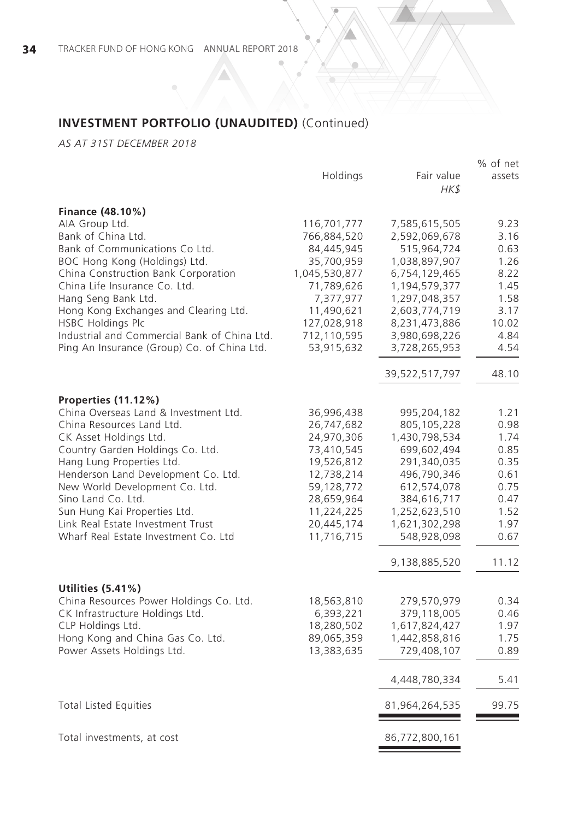# **INVESTMENT PORTFOLIO (UNAUDITED)** (Continued)

*AS AT 31ST DECEMBER 2018*

|                                              |               |                    | % of net |
|----------------------------------------------|---------------|--------------------|----------|
|                                              | Holdings      | Fair value<br>HK\$ | assets   |
| Finance (48.10%)                             |               |                    |          |
| AIA Group Ltd.                               | 116,701,777   | 7,585,615,505      | 9.23     |
| Bank of China Ltd.                           | 766,884,520   | 2,592,069,678      | 3.16     |
| Bank of Communications Co Ltd.               | 84,445,945    | 515,964,724        | 0.63     |
| BOC Hong Kong (Holdings) Ltd.                | 35,700,959    | 1,038,897,907      | 1.26     |
| China Construction Bank Corporation          | 1,045,530,877 | 6,754,129,465      | 8.22     |
| China Life Insurance Co. Ltd.                | 71,789,626    | 1,194,579,377      | 1.45     |
| Hang Seng Bank Ltd.                          | 7,377,977     | 1,297,048,357      | 1.58     |
| Hong Kong Exchanges and Clearing Ltd.        | 11,490,621    | 2,603,774,719      | 3.17     |
| <b>HSBC Holdings Plc</b>                     | 127,028,918   | 8,231,473,886      | 10.02    |
| Industrial and Commercial Bank of China Ltd. | 712,110,595   | 3,980,698,226      | 4.84     |
| Ping An Insurance (Group) Co. of China Ltd.  | 53,915,632    | 3,728,265,953      | 4.54     |
|                                              |               | 39,522,517,797     | 48.10    |
| Properties (11.12%)                          |               |                    |          |
| China Overseas Land & Investment Ltd.        | 36,996,438    | 995,204,182        | 1.21     |
| China Resources Land Ltd.                    | 26,747,682    | 805,105,228        | 0.98     |
| CK Asset Holdings Ltd.                       | 24,970,306    | 1,430,798,534      | 1.74     |
| Country Garden Holdings Co. Ltd.             | 73,410,545    | 699,602,494        | 0.85     |
| Hang Lung Properties Ltd.                    | 19,526,812    | 291,340,035        | 0.35     |
| Henderson Land Development Co. Ltd.          | 12,738,214    | 496,790,346        | 0.61     |
| New World Development Co. Ltd.               | 59,128,772    | 612,574,078        | 0.75     |
| Sino Land Co. Ltd.                           | 28,659,964    | 384,616,717        | 0.47     |
| Sun Hung Kai Properties Ltd.                 | 11,224,225    | 1,252,623,510      | 1.52     |
| Link Real Estate Investment Trust            | 20,445,174    | 1,621,302,298      | 1.97     |
| Wharf Real Estate Investment Co. Ltd         | 11,716,715    | 548,928,098        | 0.67     |
|                                              |               | 9,138,885,520      | 11.12    |
| Utilities (5.41%)                            |               |                    |          |
| China Resources Power Holdings Co. Ltd.      | 18,563,810    | 279,570,979        | 0.34     |
| CK Infrastructure Holdings Ltd.              | 6,393,221     | 379,118,005        | 0.46     |
| CLP Holdings Ltd.                            | 18,280,502    | 1,617,824,427      | 1.97     |
| Hong Kong and China Gas Co. Ltd.             | 89,065,359    | 1,442,858,816      | 1.75     |
| Power Assets Holdings Ltd.                   | 13,383,635    | 729,408,107        | 0.89     |
|                                              |               | 4,448,780,334      | 5.41     |
| <b>Total Listed Equities</b>                 |               | 81,964,264,535     | 99.75    |
|                                              |               |                    |          |
| Total investments, at cost                   |               | 86,772,800,161     |          |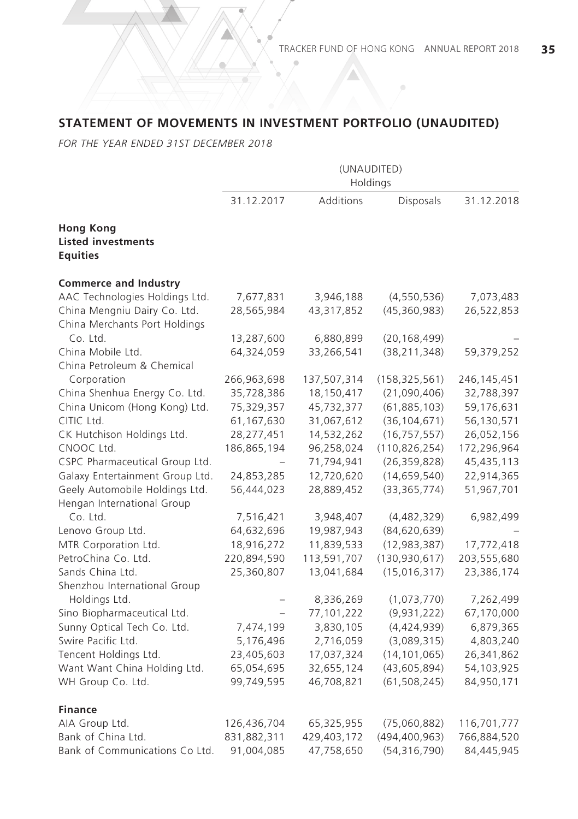# **STATEMENT OF MOVEMENTS IN INVESTMENT PORTFOLIO (UNAUDITED)**

*FOR THE YEAR ENDED 31ST DECEMBER 2018*

|                                                                  | (UNAUDITED)<br>Holdings |             |                 |               |
|------------------------------------------------------------------|-------------------------|-------------|-----------------|---------------|
|                                                                  | 31.12.2017              | Additions   | Disposals       | 31.12.2018    |
| <b>Hong Kong</b><br><b>Listed investments</b><br><b>Equities</b> |                         |             |                 |               |
| <b>Commerce and Industry</b>                                     |                         |             |                 |               |
| AAC Technologies Holdings Ltd.                                   | 7,677,831               | 3,946,188   | (4, 550, 536)   | 7,073,483     |
| China Mengniu Dairy Co. Ltd.<br>China Merchants Port Holdings    | 28,565,984              | 43,317,852  | (45, 360, 983)  | 26,522,853    |
| Co. Ltd.                                                         | 13,287,600              | 6,880,899   | (20, 168, 499)  |               |
| China Mobile Ltd.                                                | 64,324,059              | 33,266,541  | (38, 211, 348)  | 59,379,252    |
| China Petroleum & Chemical                                       |                         |             |                 |               |
| Corporation                                                      | 266,963,698             | 137,507,314 | (158, 325, 561) | 246, 145, 451 |
| China Shenhua Energy Co. Ltd.                                    | 35,728,386              | 18,150,417  | (21,090,406)    | 32,788,397    |
| China Unicom (Hong Kong) Ltd.                                    | 75,329,357              | 45,732,377  | (61, 885, 103)  | 59,176,631    |
| CITIC Ltd.                                                       | 61,167,630              | 31,067,612  | (36, 104, 671)  | 56,130,571    |
| CK Hutchison Holdings Ltd.                                       | 28,277,451              | 14,532,262  | (16, 757, 557)  | 26,052,156    |
| CNOOC Ltd.                                                       | 186,865,194             | 96,258,024  | (110, 826, 254) | 172,296,964   |
| CSPC Pharmaceutical Group Ltd.                                   |                         | 71,794,941  | (26, 359, 828)  | 45,435,113    |
| Galaxy Entertainment Group Ltd.                                  | 24,853,285              | 12,720,620  | (14, 659, 540)  | 22,914,365    |
| Geely Automobile Holdings Ltd.                                   | 56,444,023              | 28,889,452  | (33, 365, 774)  | 51,967,701    |
| Hengan International Group                                       |                         |             |                 |               |
| Co. Ltd.                                                         | 7,516,421               | 3,948,407   | (4,482,329)     | 6,982,499     |
| Lenovo Group Ltd.                                                | 64,632,696              | 19,987,943  | (84, 620, 639)  |               |
| MTR Corporation Ltd.                                             | 18,916,272              | 11,839,533  | (12, 983, 387)  | 17,772,418    |
| PetroChina Co. Ltd.                                              | 220,894,590             | 113,591,707 | (130, 930, 617) | 203,555,680   |
| Sands China Ltd.                                                 | 25,360,807              | 13,041,684  | (15,016,317)    | 23,386,174    |
| Shenzhou International Group                                     |                         |             |                 |               |
| Holdings Ltd.                                                    |                         | 8,336,269   | (1,073,770)     | 7,262,499     |
| Sino Biopharmaceutical Ltd.                                      |                         | 77,101,222  | (9,931,222)     | 67,170,000    |
| Sunny Optical Tech Co. Ltd.                                      | 7,474,199               | 3,830,105   | (4,424,939)     | 6,879,365     |
| Swire Pacific Ltd.                                               | 5,176,496               | 2,716,059   | (3,089,315)     | 4,803,240     |
| Tencent Holdings Ltd.                                            | 23,405,603              | 17,037,324  | (14, 101, 065)  | 26,341,862    |
| Want Want China Holding Ltd.                                     | 65,054,695              | 32,655,124  | (43,605,894)    | 54,103,925    |
| WH Group Co. Ltd.                                                | 99,749,595              | 46,708,821  | (61, 508, 245)  | 84,950,171    |
| <b>Finance</b>                                                   |                         |             |                 |               |
| AIA Group Ltd.                                                   | 126,436,704             | 65,325,955  | (75,060,882)    | 116,701,777   |
| Bank of China Ltd.                                               | 831,882,311             | 429,403,172 | (494, 400, 963) | 766,884,520   |
| Bank of Communications Co Ltd.                                   | 91,004,085              | 47,758,650  | (54, 316, 790)  | 84,445,945    |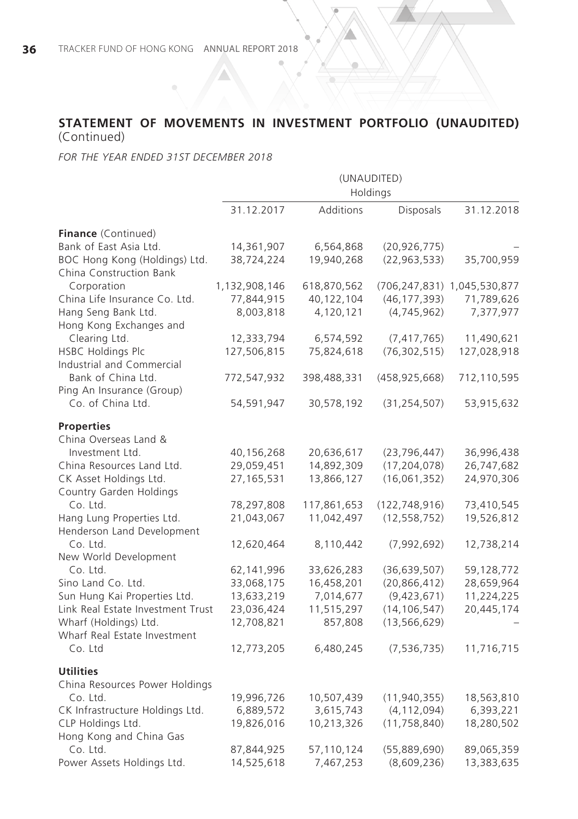# **STATEMENT OF MOVEMENTS IN INVESTMENT PORTFOLIO (UNAUDITED)**  (Continued)

*FOR THE YEAR ENDED 31ST DECEMBER 2018*

|                                                          | (UNAUDITED)<br>Holdings |             |                 |                                  |
|----------------------------------------------------------|-------------------------|-------------|-----------------|----------------------------------|
|                                                          | 31.12.2017              | Additions   | Disposals       | 31.12.2018                       |
| <b>Finance</b> (Continued)                               |                         |             |                 |                                  |
| Bank of East Asia Ltd.                                   | 14,361,907              | 6,564,868   | (20, 926, 775)  |                                  |
| BOC Hong Kong (Holdings) Ltd.<br>China Construction Bank | 38,724,224              | 19,940,268  | (22, 963, 533)  | 35,700,959                       |
| Corporation                                              | 1,132,908,146           | 618,870,562 |                 | (706, 247, 831) 1, 045, 530, 877 |
| China Life Insurance Co. Ltd.                            | 77,844,915              | 40,122,104  | (46, 177, 393)  | 71,789,626                       |
| Hang Seng Bank Ltd.<br>Hong Kong Exchanges and           | 8,003,818               | 4,120,121   | (4,745,962)     | 7,377,977                        |
| Clearing Ltd.                                            | 12,333,794              | 6,574,592   | (7, 417, 765)   | 11,490,621                       |
| <b>HSBC Holdings Plc</b><br>Industrial and Commercial    | 127,506,815             | 75,824,618  | (76, 302, 515)  | 127,028,918                      |
| Bank of China Ltd.<br>Ping An Insurance (Group)          | 772,547,932             | 398,488,331 | (458, 925, 668) | 712,110,595                      |
| Co. of China Ltd.                                        | 54,591,947              | 30,578,192  | (31, 254, 507)  | 53,915,632                       |
| <b>Properties</b>                                        |                         |             |                 |                                  |
| China Overseas Land &                                    |                         |             |                 |                                  |
| Investment Ltd.                                          | 40,156,268              | 20,636,617  | (23, 796, 447)  | 36,996,438                       |
| China Resources Land Ltd.                                | 29,059,451              | 14,892,309  | (17, 204, 078)  | 26,747,682                       |
| CK Asset Holdings Ltd.<br>Country Garden Holdings        | 27, 165, 531            | 13,866,127  | (16,061,352)    | 24,970,306                       |
| Co. Ltd.                                                 | 78,297,808              | 117,861,653 | (122, 748, 916) | 73,410,545                       |
| Hang Lung Properties Ltd.<br>Henderson Land Development  | 21,043,067              | 11,042,497  | (12, 558, 752)  | 19,526,812                       |
| Co. Ltd.                                                 | 12,620,464              | 8,110,442   | (7,992,692)     | 12,738,214                       |
| New World Development                                    |                         |             |                 |                                  |
| Co. Ltd.                                                 | 62,141,996              | 33,626,283  | (36, 639, 507)  | 59,128,772                       |
| Sino Land Co. Ltd.                                       | 33,068,175              | 16,458,201  | (20, 866, 412)  | 28,659,964                       |
| Sun Hung Kai Properties Ltd.                             | 13,633,219              | 7,014,677   | (9,423,671)     | 11,224,225                       |
| Link Real Estate Investment Trust                        | 23,036,424              | 11,515,297  | (14, 106, 547)  | 20,445,174                       |
| Wharf (Holdings) Ltd.<br>Wharf Real Estate Investment    | 12,708,821              | 857,808     | (13, 566, 629)  |                                  |
| Co. Ltd                                                  | 12,773,205              | 6,480,245   | (7, 536, 735)   | 11,716,715                       |
| <b>Utilities</b>                                         |                         |             |                 |                                  |
| China Resources Power Holdings                           |                         |             |                 |                                  |
| Co. Ltd.                                                 | 19,996,726              | 10,507,439  | (11, 940, 355)  | 18,563,810                       |
| CK Infrastructure Holdings Ltd.                          | 6,889,572               | 3,615,743   | (4, 112, 094)   | 6,393,221                        |
| CLP Holdings Ltd.<br>Hong Kong and China Gas             | 19,826,016              | 10,213,326  | (11, 758, 840)  | 18,280,502                       |
| Co. Ltd.                                                 | 87,844,925              | 57,110,124  | (55,889,690)    | 89,065,359                       |
| Power Assets Holdings Ltd.                               | 14,525,618              | 7,467,253   | (8,609,236)     | 13,383,635                       |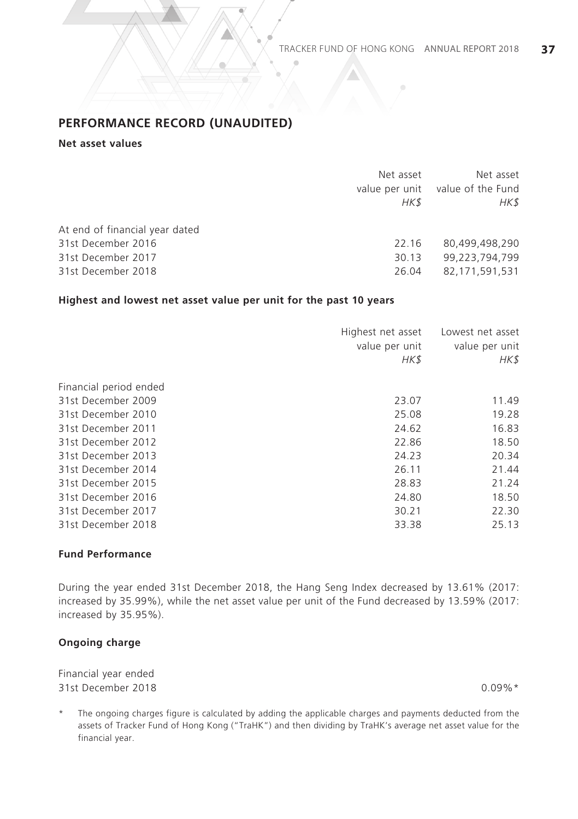# **PERFORMANCE RECORD (UNAUDITED)**

### **Net asset values**

|                                | Net asset<br>HK\$ | Net asset<br>value per unit value of the Fund<br>HK\$ |
|--------------------------------|-------------------|-------------------------------------------------------|
| At end of financial year dated |                   |                                                       |
| 31st December 2016             | 22.16             | 80.499.498.290                                        |
| 31st December 2017             | 30.13             | 99.223.794.799                                        |
| 31st December 2018             | 26.04             | 82,171,591,531                                        |

### **Highest and lowest net asset value per unit for the past 10 years**

|                        | Highest net asset<br>value per unit<br>HK\$ | Lowest net asset<br>value per unit<br>HK\$ |
|------------------------|---------------------------------------------|--------------------------------------------|
| Financial period ended |                                             |                                            |
| 31st December 2009     | 23.07                                       | 11.49                                      |
| 31st December 2010     | 25.08                                       | 19.28                                      |
| 31st December 2011     | 24.62                                       | 16.83                                      |
| 31st December 2012     | 22.86                                       | 18.50                                      |
| 31st December 2013     | 24.23                                       | 20.34                                      |
| 31st December 2014     | 26.11                                       | 21.44                                      |
| 31st December 2015     | 28.83                                       | 21.24                                      |
| 31st December 2016     | 24.80                                       | 18.50                                      |
| 31st December 2017     | 30.21                                       | 22.30                                      |
| 31st December 2018     | 33.38                                       | 25.13                                      |

### **Fund Performance**

During the year ended 31st December 2018, the Hang Seng Index decreased by 13.61% (2017: increased by 35.99%), while the net asset value per unit of the Fund decreased by 13.59% (2017: increased by 35.95%).

### **Ongoing charge**

Financial year ended 31st December 2018 0.09%\*

The ongoing charges figure is calculated by adding the applicable charges and payments deducted from the assets of Tracker Fund of Hong Kong ("TraHK") and then dividing by TraHK's average net asset value for the financial year.